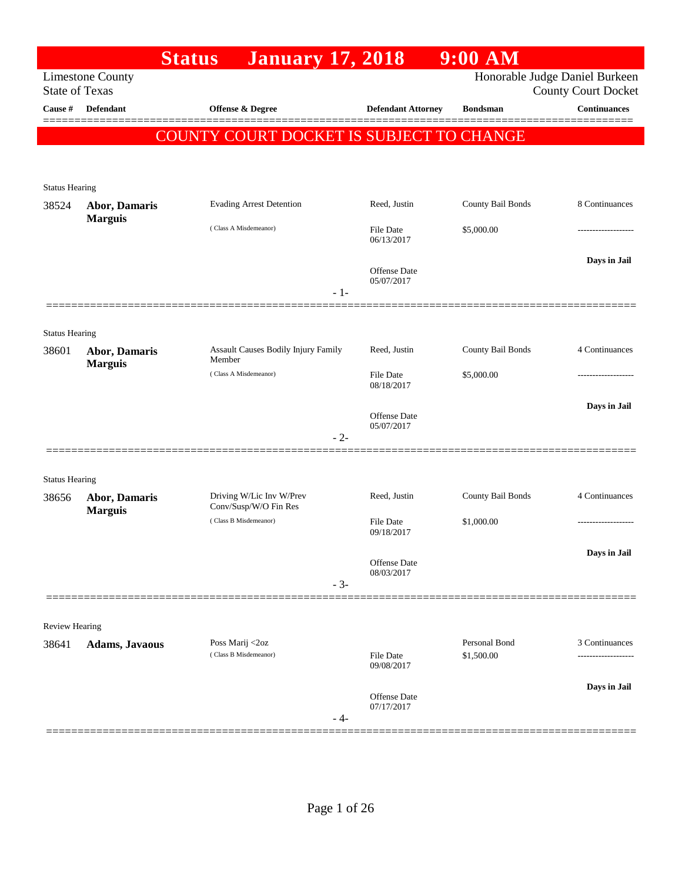|                                |                         | <b>Status</b><br><b>January 17, 2018</b>          |       |                           | $9:00$ AM                   |                                                              |
|--------------------------------|-------------------------|---------------------------------------------------|-------|---------------------------|-----------------------------|--------------------------------------------------------------|
| <b>State of Texas</b>          | <b>Limestone County</b> |                                                   |       |                           |                             | Honorable Judge Daniel Burkeen<br><b>County Court Docket</b> |
| Cause #                        | <b>Defendant</b>        | <b>Offense &amp; Degree</b>                       |       | <b>Defendant Attorney</b> | <b>Bondsman</b>             | <b>Continuances</b>                                          |
|                                |                         | COUNTY COURT DOCKET IS SUBJECT TO CHANGE          |       |                           |                             |                                                              |
|                                |                         |                                                   |       |                           |                             |                                                              |
|                                |                         |                                                   |       |                           |                             |                                                              |
| <b>Status Hearing</b><br>38524 | <b>Abor, Damaris</b>    | <b>Evading Arrest Detention</b>                   |       | Reed, Justin              | County Bail Bonds           | 8 Continuances                                               |
|                                | <b>Marguis</b>          | (Class A Misdemeanor)                             |       |                           |                             |                                                              |
|                                |                         |                                                   |       | File Date<br>06/13/2017   | \$5,000.00                  |                                                              |
|                                |                         |                                                   |       | <b>Offense</b> Date       |                             | Days in Jail                                                 |
|                                |                         |                                                   |       | 05/07/2017                |                             |                                                              |
|                                |                         |                                                   | $-1-$ |                           |                             |                                                              |
| <b>Status Hearing</b>          |                         |                                                   |       |                           |                             |                                                              |
| 38601                          | Abor, Damaris           | Assault Causes Bodily Injury Family               |       | Reed, Justin              | County Bail Bonds           | 4 Continuances                                               |
|                                | <b>Marguis</b>          | Member<br>(Class A Misdemeanor)                   |       | File Date                 | \$5,000.00                  | -------------                                                |
|                                |                         |                                                   |       | 08/18/2017                |                             |                                                              |
|                                |                         |                                                   |       | Offense Date              |                             | Days in Jail                                                 |
|                                |                         |                                                   | $-2-$ | 05/07/2017                |                             |                                                              |
|                                |                         |                                                   |       |                           |                             |                                                              |
| <b>Status Hearing</b>          |                         |                                                   |       |                           |                             |                                                              |
| 38656                          | Abor, Damaris           | Driving W/Lic Inv W/Prev<br>Conv/Susp/W/O Fin Res |       | Reed, Justin              | County Bail Bonds           | 4 Continuances                                               |
|                                | <b>Marguis</b>          | (Class B Misdemeanor)                             |       | File Date                 | \$1,000.00                  | -------------------                                          |
|                                |                         |                                                   |       | 09/18/2017                |                             |                                                              |
|                                |                         |                                                   |       | <b>Offense</b> Date       |                             | Days in Jail                                                 |
|                                |                         |                                                   | $-3-$ | 08/03/2017                |                             |                                                              |
|                                |                         |                                                   |       |                           |                             |                                                              |
| Review Hearing                 |                         |                                                   |       |                           |                             |                                                              |
| 38641                          | <b>Adams, Javaous</b>   | Poss Marij <2oz<br>(Class B Misdemeanor)          |       | File Date                 | Personal Bond<br>\$1,500.00 | 3 Continuances                                               |
|                                |                         |                                                   |       | 09/08/2017                |                             |                                                              |
|                                |                         |                                                   |       | <b>Offense</b> Date       |                             | Days in Jail                                                 |
|                                |                         |                                                   | - 4-  | 07/17/2017                |                             |                                                              |
|                                |                         |                                                   |       |                           |                             |                                                              |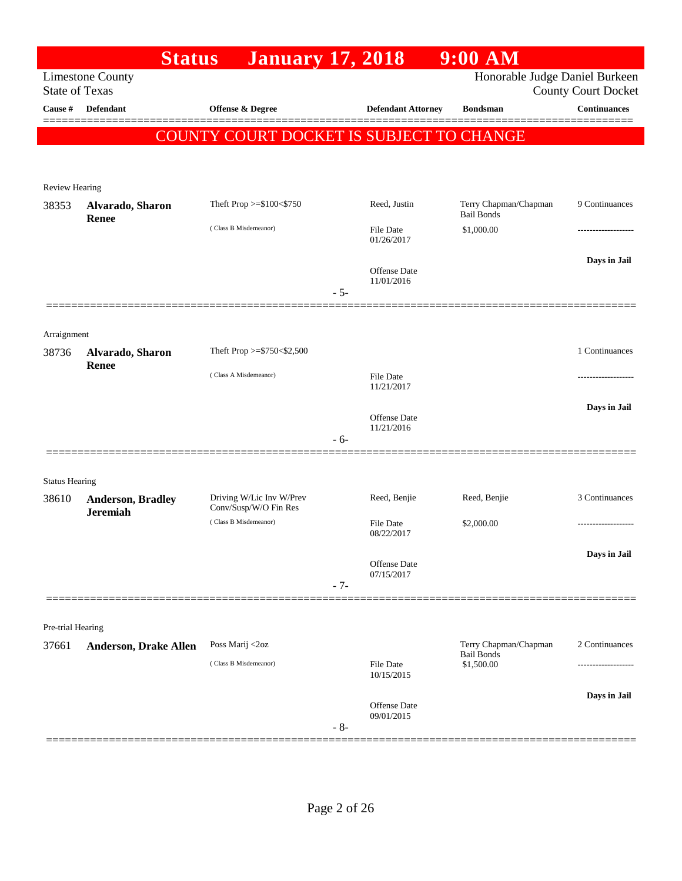|                       | <b>Status</b>                    | <b>January 17, 2018</b>                        |       |                                | $9:00$ AM                                  |                                                   |
|-----------------------|----------------------------------|------------------------------------------------|-------|--------------------------------|--------------------------------------------|---------------------------------------------------|
| <b>State of Texas</b> | <b>Limestone County</b>          |                                                |       |                                | Honorable Judge Daniel Burkeen             |                                                   |
| Cause #               | <b>Defendant</b>                 | Offense & Degree                               |       | <b>Defendant Attorney</b>      | <b>Bondsman</b>                            | <b>County Court Docket</b><br><b>Continuances</b> |
|                       |                                  |                                                |       |                                |                                            |                                                   |
|                       |                                  | COUNTY COURT DOCKET IS SUBJECT TO CHANGE       |       |                                |                                            |                                                   |
|                       |                                  |                                                |       |                                |                                            |                                                   |
| <b>Review Hearing</b> |                                  |                                                |       |                                |                                            |                                                   |
| 38353                 | Alvarado, Sharon<br><b>Renee</b> | Theft Prop >=\$100<\$750                       |       | Reed, Justin                   | Terry Chapman/Chapman<br><b>Bail Bonds</b> | 9 Continuances                                    |
|                       |                                  | (Class B Misdemeanor)                          |       | <b>File Date</b><br>01/26/2017 | \$1,000.00                                 |                                                   |
|                       |                                  |                                                |       |                                |                                            | Days in Jail                                      |
|                       |                                  |                                                |       | Offense Date<br>11/01/2016     |                                            |                                                   |
|                       |                                  |                                                | $-5-$ |                                |                                            |                                                   |
|                       |                                  |                                                |       |                                |                                            |                                                   |
| Arraignment<br>38736  | Alvarado, Sharon                 | Theft Prop >= $$750<$2,500$                    |       |                                |                                            | 1 Continuances                                    |
|                       | Renee                            |                                                |       |                                |                                            |                                                   |
|                       |                                  | (Class A Misdemeanor)                          |       | <b>File Date</b><br>11/21/2017 |                                            |                                                   |
|                       |                                  |                                                |       |                                |                                            | Days in Jail                                      |
|                       |                                  |                                                |       | Offense Date<br>11/21/2016     |                                            |                                                   |
|                       |                                  |                                                | $-6-$ |                                |                                            |                                                   |
| <b>Status Hearing</b> |                                  |                                                |       |                                |                                            |                                                   |
| 38610                 | <b>Anderson, Bradley</b>         | Driving W/Lic Inv W/Prev                       |       | Reed, Benjie                   | Reed, Benjie                               | 3 Continuances                                    |
|                       | <b>Jeremiah</b>                  | Conv/Susp/W/O Fin Res<br>(Class B Misdemeanor) |       | File Date                      | \$2,000.00                                 |                                                   |
|                       |                                  |                                                |       | 08/22/2017                     |                                            |                                                   |
|                       |                                  |                                                |       | Offense Date                   |                                            | Days in Jail                                      |
|                       |                                  |                                                | $-7-$ | 07/15/2017                     |                                            |                                                   |
|                       |                                  |                                                |       |                                |                                            |                                                   |
| Pre-trial Hearing     |                                  |                                                |       |                                |                                            |                                                   |
| 37661                 | <b>Anderson, Drake Allen</b>     | Poss Marij <2oz                                |       |                                | Terry Chapman/Chapman<br><b>Bail Bonds</b> | 2 Continuances                                    |
|                       |                                  | (Class B Misdemeanor)                          |       | <b>File Date</b><br>10/15/2015 | \$1,500.00                                 |                                                   |
|                       |                                  |                                                |       |                                |                                            | Days in Jail                                      |
|                       |                                  |                                                |       | Offense Date<br>09/01/2015     |                                            |                                                   |
|                       |                                  |                                                | $-8-$ |                                |                                            |                                                   |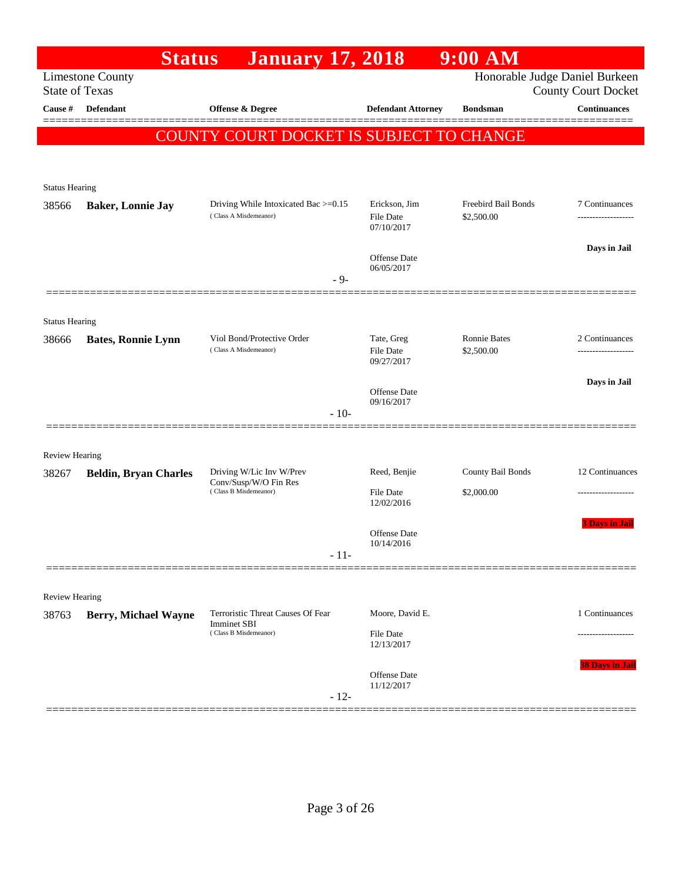|                       | <b>Status</b>                | <b>January 17, 2018</b>                                 |                                | $9:00$ AM                         |                                      |
|-----------------------|------------------------------|---------------------------------------------------------|--------------------------------|-----------------------------------|--------------------------------------|
| <b>State of Texas</b> | <b>Limestone County</b>      |                                                         |                                | Honorable Judge Daniel Burkeen    | <b>County Court Docket</b>           |
| Cause #               | <b>Defendant</b>             | Offense & Degree                                        | <b>Defendant Attorney</b>      | <b>Bondsman</b>                   | Continuances                         |
|                       |                              | COUNTY COURT DOCKET IS SUBJECT TO CHANGE                |                                |                                   | ======                               |
|                       |                              |                                                         |                                |                                   |                                      |
| <b>Status Hearing</b> |                              |                                                         |                                |                                   |                                      |
| 38566                 | <b>Baker, Lonnie Jay</b>     | Driving While Intoxicated Bac >=0.15                    | Erickson, Jim                  | Freebird Bail Bonds               | 7 Continuances                       |
|                       |                              | (Class A Misdemeanor)                                   | File Date<br>07/10/2017        | \$2,500.00                        |                                      |
|                       |                              |                                                         | Offense Date                   |                                   | Days in Jail                         |
|                       |                              | $-9-$                                                   | 06/05/2017                     |                                   |                                      |
|                       |                              |                                                         |                                |                                   |                                      |
| <b>Status Hearing</b> |                              |                                                         |                                |                                   |                                      |
| 38666                 | <b>Bates, Ronnie Lynn</b>    | Viol Bond/Protective Order<br>(Class A Misdemeanor)     | Tate, Greg<br><b>File Date</b> | <b>Ronnie Bates</b><br>\$2,500.00 | 2 Continuances<br>------------------ |
|                       |                              |                                                         | 09/27/2017                     |                                   |                                      |
|                       |                              |                                                         | Offense Date                   |                                   | Days in Jail                         |
|                       |                              | $-10-$                                                  | 09/16/2017                     |                                   |                                      |
|                       |                              |                                                         |                                |                                   |                                      |
| <b>Review Hearing</b> |                              |                                                         |                                |                                   |                                      |
| 38267                 | <b>Beldin, Bryan Charles</b> | Driving W/Lic Inv W/Prev<br>Conv/Susp/W/O Fin Res       | Reed, Benjie                   | County Bail Bonds                 | 12 Continuances                      |
|                       |                              | (Class B Misdemeanor)                                   | File Date<br>12/02/2016        | \$2,000.00                        |                                      |
|                       |                              |                                                         | Offense Date                   |                                   | <b>3 Davs in Jail</b>                |
|                       |                              | $-11-$                                                  | $10/14/2016\,$                 |                                   |                                      |
|                       |                              |                                                         |                                |                                   |                                      |
| Review Hearing        |                              |                                                         |                                |                                   |                                      |
| 38763                 | <b>Berry, Michael Wayne</b>  | Terroristic Threat Causes Of Fear<br><b>Imminet SBI</b> | Moore, David E.                |                                   | 1 Continuances                       |
|                       |                              | (Class B Misdemeanor)                                   | <b>File Date</b><br>12/13/2017 |                                   |                                      |
|                       |                              |                                                         |                                |                                   | 38 Days in Jail                      |
|                       |                              |                                                         | Offense Date<br>11/12/2017     |                                   |                                      |
|                       |                              | $-12-$                                                  |                                |                                   |                                      |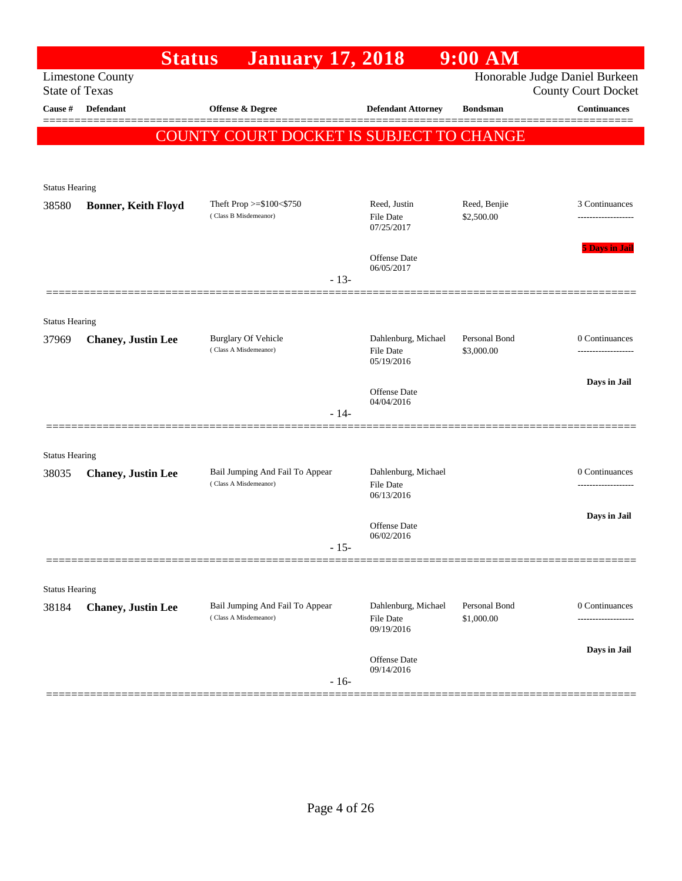|                       | <b>Status</b>              | <b>January 17, 2018</b>                                  |                                                       | $9:00$ AM                   |                                                              |
|-----------------------|----------------------------|----------------------------------------------------------|-------------------------------------------------------|-----------------------------|--------------------------------------------------------------|
| <b>State of Texas</b> | <b>Limestone County</b>    |                                                          |                                                       |                             | Honorable Judge Daniel Burkeen<br><b>County Court Docket</b> |
| Cause #               | Defendant                  | Offense & Degree                                         | <b>Defendant Attorney</b>                             | <b>Bondsman</b>             | <b>Continuances</b>                                          |
|                       |                            | <b>COUNTY COURT DOCKET IS SUBJECT TO CHANGE</b>          |                                                       |                             |                                                              |
|                       |                            |                                                          |                                                       |                             |                                                              |
| <b>Status Hearing</b> |                            |                                                          |                                                       |                             |                                                              |
| 38580                 | <b>Bonner, Keith Floyd</b> | Theft Prop >=\$100<\$750                                 | Reed, Justin                                          | Reed, Benjie                | 3 Continuances                                               |
|                       |                            | (Class B Misdemeanor)                                    | File Date<br>07/25/2017                               | \$2,500.00                  |                                                              |
|                       |                            |                                                          | Offense Date<br>06/05/2017                            |                             | <b>5 Days in Jail</b>                                        |
|                       |                            | $-13-$                                                   |                                                       |                             |                                                              |
| <b>Status Hearing</b> |                            |                                                          |                                                       |                             |                                                              |
| 37969                 | <b>Chaney, Justin Lee</b>  | <b>Burglary Of Vehicle</b><br>(Class A Misdemeanor)      | Dahlenburg, Michael<br><b>File Date</b>               | Personal Bond<br>\$3,000.00 | 0 Continuances                                               |
|                       |                            |                                                          | 05/19/2016                                            |                             |                                                              |
|                       |                            |                                                          | Offense Date<br>04/04/2016                            |                             | Days in Jail                                                 |
|                       |                            | $-14-$                                                   |                                                       |                             |                                                              |
| <b>Status Hearing</b> |                            |                                                          |                                                       |                             |                                                              |
| 38035                 | <b>Chaney, Justin Lee</b>  | Bail Jumping And Fail To Appear                          | Dahlenburg, Michael                                   |                             | 0 Continuances                                               |
|                       |                            | (Class A Misdemeanor)                                    | <b>File Date</b><br>06/13/2016                        |                             |                                                              |
|                       |                            |                                                          | Offense Date                                          |                             | Days in Jail                                                 |
|                       |                            | $-15-$                                                   | 06/02/2016                                            |                             |                                                              |
|                       |                            |                                                          |                                                       |                             |                                                              |
| <b>Status Hearing</b> |                            |                                                          |                                                       |                             |                                                              |
| 38184                 | <b>Chaney</b> , Justin Lee | Bail Jumping And Fail To Appear<br>(Class A Misdemeanor) | Dahlenburg, Michael<br><b>File Date</b><br>09/19/2016 | Personal Bond<br>\$1,000.00 | 0 Continuances<br>                                           |
|                       |                            |                                                          |                                                       |                             | Days in Jail                                                 |
|                       |                            | $-16-$                                                   | Offense Date<br>09/14/2016                            |                             |                                                              |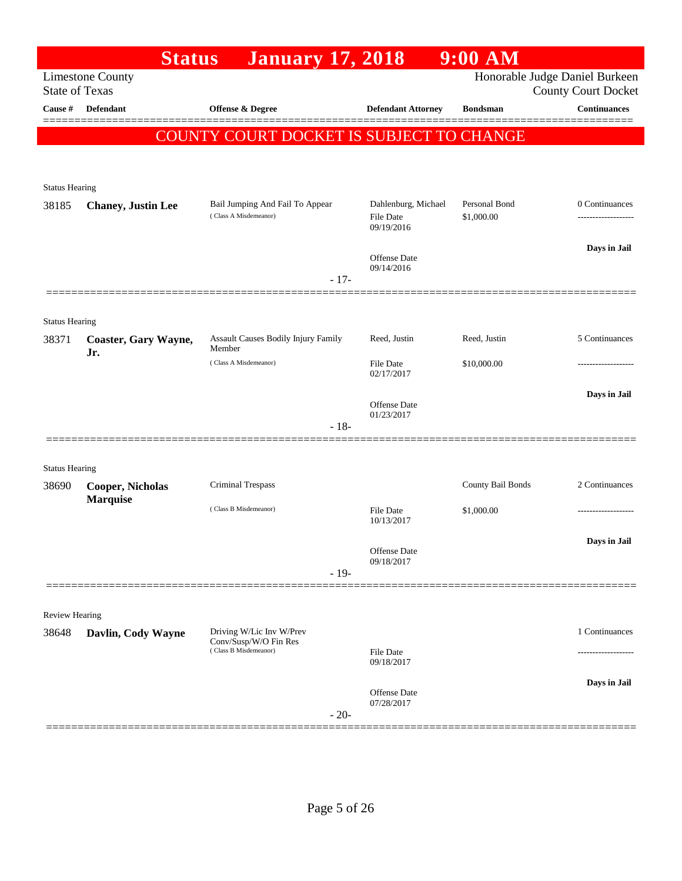| <b>January 17, 2018</b><br><b>Limestone County</b><br><b>State of Texas</b><br>Cause #<br><b>Defendant</b><br>Offense & Degree<br>COUNTY COURT DOCKET IS SUBJECT TO CHANGE | <b>Defendant Attorney</b>                             | <b>Bondsman</b>             | Honorable Judge Daniel Burkeen<br><b>County Court Docket</b><br><b>Continuances</b><br>======= |
|----------------------------------------------------------------------------------------------------------------------------------------------------------------------------|-------------------------------------------------------|-----------------------------|------------------------------------------------------------------------------------------------|
|                                                                                                                                                                            |                                                       |                             |                                                                                                |
|                                                                                                                                                                            |                                                       |                             |                                                                                                |
|                                                                                                                                                                            |                                                       |                             |                                                                                                |
|                                                                                                                                                                            |                                                       |                             |                                                                                                |
| <b>Status Hearing</b>                                                                                                                                                      |                                                       |                             |                                                                                                |
| Bail Jumping And Fail To Appear<br>38185<br><b>Chaney</b> , Justin Lee<br>(Class A Misdemeanor)                                                                            | Dahlenburg, Michael<br><b>File Date</b><br>09/19/2016 | Personal Bond<br>\$1,000.00 | 0 Continuances                                                                                 |
|                                                                                                                                                                            | Offense Date<br>09/14/2016                            |                             | Days in Jail                                                                                   |
| $-17-$                                                                                                                                                                     |                                                       |                             |                                                                                                |
| <b>Status Hearing</b>                                                                                                                                                      |                                                       |                             |                                                                                                |
| Assault Causes Bodily Injury Family<br>38371<br>Coaster, Gary Wayne,<br>Member                                                                                             | Reed, Justin                                          | Reed, Justin                | 5 Continuances                                                                                 |
| Jr.<br>(Class A Misdemeanor)                                                                                                                                               | <b>File Date</b><br>02/17/2017                        | \$10,000.00                 |                                                                                                |
|                                                                                                                                                                            | Offense Date<br>01/23/2017                            |                             | Days in Jail                                                                                   |
| $-18-$                                                                                                                                                                     |                                                       |                             |                                                                                                |
| <b>Status Hearing</b>                                                                                                                                                      |                                                       |                             |                                                                                                |
| Criminal Trespass<br>38690<br><b>Cooper, Nicholas</b>                                                                                                                      |                                                       | County Bail Bonds           | 2 Continuances                                                                                 |
| <b>Marquise</b><br>(Class B Misdemeanor)                                                                                                                                   | <b>File Date</b><br>10/13/2017                        | \$1,000.00                  |                                                                                                |
|                                                                                                                                                                            | Offense Date<br>09/18/2017                            |                             | Days in Jail                                                                                   |
| $-19-$                                                                                                                                                                     |                                                       |                             |                                                                                                |
|                                                                                                                                                                            |                                                       |                             |                                                                                                |
| <b>Review Hearing</b><br>Driving W/Lic Inv W/Prev<br>38648<br>Davlin, Cody Wayne                                                                                           |                                                       |                             | 1 Continuances                                                                                 |
| Conv/Susp/W/O Fin Res<br>(Class B Misdemeanor)                                                                                                                             | File Date<br>09/18/2017                               |                             |                                                                                                |
| $-20-$                                                                                                                                                                     | Offense Date<br>07/28/2017                            |                             | Days in Jail                                                                                   |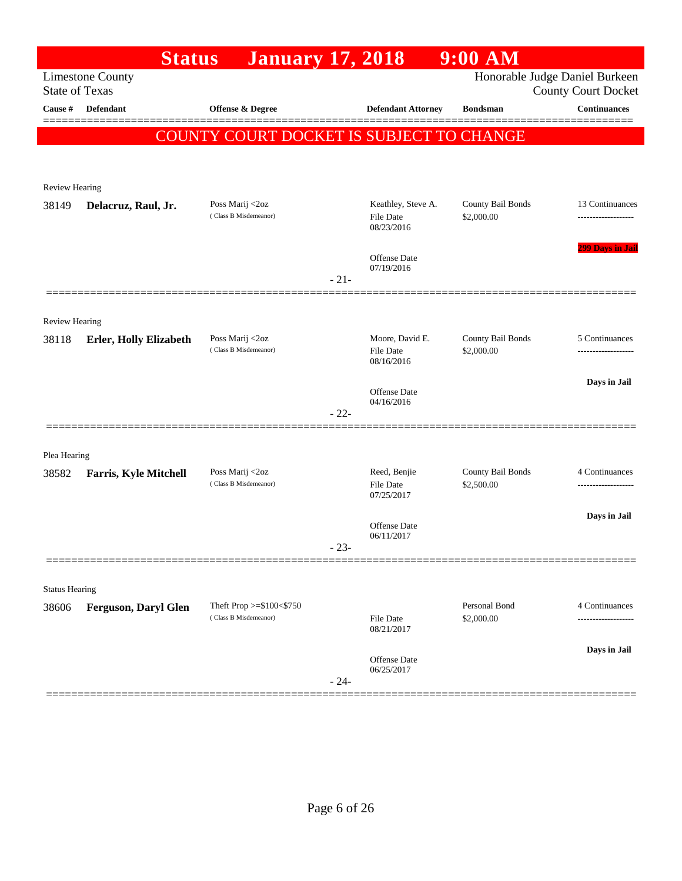|                       | <b>Status</b>                 | <b>January 17, 2018</b>                  |        |                                                      | $9:00$ AM                       |                                                   |
|-----------------------|-------------------------------|------------------------------------------|--------|------------------------------------------------------|---------------------------------|---------------------------------------------------|
| <b>State of Texas</b> | <b>Limestone County</b>       |                                          |        |                                                      |                                 | Honorable Judge Daniel Burkeen                    |
| Cause #               | <b>Defendant</b>              | Offense & Degree                         |        | <b>Defendant Attorney</b>                            | <b>Bondsman</b>                 | <b>County Court Docket</b><br><b>Continuances</b> |
|                       |                               |                                          |        |                                                      |                                 |                                                   |
|                       |                               | COUNTY COURT DOCKET IS SUBJECT TO CHANGE |        |                                                      |                                 |                                                   |
|                       |                               |                                          |        |                                                      |                                 |                                                   |
| Review Hearing        |                               |                                          |        |                                                      |                                 |                                                   |
| 38149                 | Delacruz, Raul, Jr.           | Poss Marij <2oz<br>(Class B Misdemeanor) |        | Keathley, Steve A.<br><b>File Date</b><br>08/23/2016 | County Bail Bonds<br>\$2,000.00 | 13 Continuances<br>                               |
|                       |                               |                                          | $-21-$ | <b>Offense Date</b><br>07/19/2016                    |                                 | <b>299 Days in Jail</b>                           |
|                       |                               |                                          |        |                                                      |                                 |                                                   |
| <b>Review Hearing</b> |                               |                                          |        |                                                      |                                 |                                                   |
| 38118                 | <b>Erler, Holly Elizabeth</b> | Poss Marij <2oz<br>(Class B Misdemeanor) |        | Moore, David E.<br><b>File Date</b><br>08/16/2016    | County Bail Bonds               | 5 Continuances                                    |
|                       |                               |                                          |        |                                                      | \$2,000.00                      |                                                   |
|                       |                               |                                          |        |                                                      |                                 | Days in Jail                                      |
|                       |                               |                                          |        | <b>Offense Date</b><br>04/16/2016                    |                                 |                                                   |
|                       |                               |                                          | $-22-$ |                                                      |                                 |                                                   |
|                       |                               |                                          |        |                                                      |                                 |                                                   |
| Plea Hearing<br>38582 | <b>Farris, Kyle Mitchell</b>  | Poss Marij <2oz                          |        | Reed, Benjie                                         | County Bail Bonds               | 4 Continuances                                    |
|                       |                               | (Class B Misdemeanor)                    |        | <b>File Date</b><br>07/25/2017                       | \$2,500.00                      |                                                   |
|                       |                               |                                          |        |                                                      |                                 | Days in Jail                                      |
|                       |                               |                                          |        | Offense Date<br>06/11/2017                           |                                 |                                                   |
|                       |                               |                                          | $-23-$ |                                                      |                                 |                                                   |
|                       |                               |                                          |        |                                                      |                                 |                                                   |
| <b>Status Hearing</b> |                               | Theft Prop >=\$100<\$750                 |        |                                                      | Personal Bond                   | 4 Continuances                                    |
| 38606                 | <b>Ferguson, Daryl Glen</b>   | (Class B Misdemeanor)                    |        | <b>File Date</b><br>08/21/2017                       | \$2,000.00                      | .                                                 |
|                       |                               |                                          |        | Offense Date                                         |                                 | Days in Jail                                      |
|                       |                               |                                          | $-24-$ | 06/25/2017                                           |                                 |                                                   |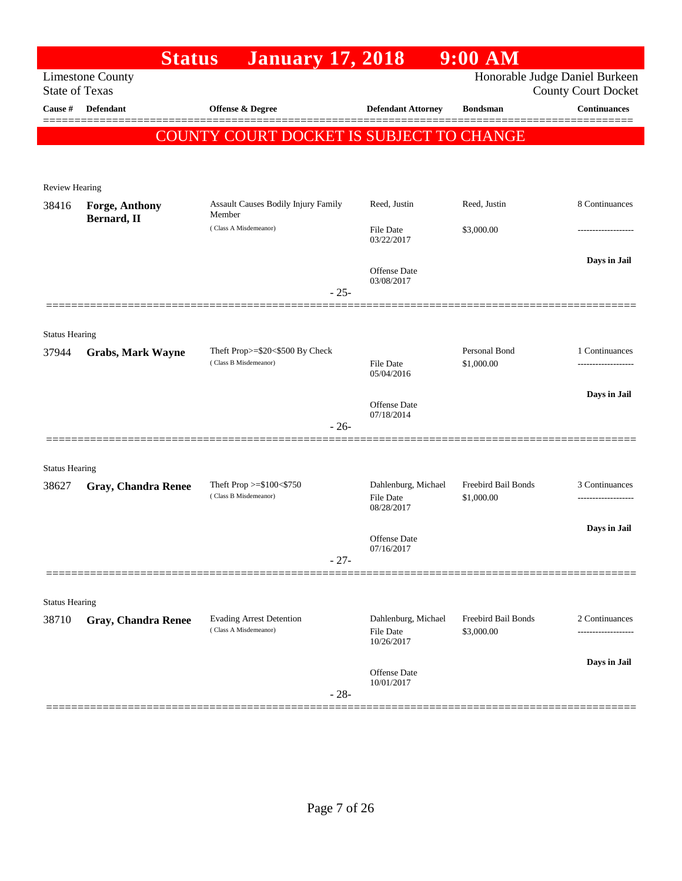|                       | <b>Status</b>                        | <b>January 17, 2018</b>                                  |                                                | $9:00$ AM                         |                                                              |
|-----------------------|--------------------------------------|----------------------------------------------------------|------------------------------------------------|-----------------------------------|--------------------------------------------------------------|
| <b>State of Texas</b> | <b>Limestone County</b>              |                                                          |                                                |                                   | Honorable Judge Daniel Burkeen<br><b>County Court Docket</b> |
| Cause #               | Defendant                            | <b>Offense &amp; Degree</b>                              | <b>Defendant Attorney</b>                      | <b>Bondsman</b>                   | <b>Continuances</b>                                          |
|                       |                                      | COUNTY COURT DOCKET IS SUBJECT TO CHANGE                 |                                                |                                   |                                                              |
|                       |                                      |                                                          |                                                |                                   |                                                              |
|                       |                                      |                                                          |                                                |                                   |                                                              |
| <b>Review Hearing</b> |                                      |                                                          |                                                |                                   |                                                              |
| 38416                 | <b>Forge, Anthony</b><br>Bernard, II | Assault Causes Bodily Injury Family<br>Member            | Reed, Justin                                   | Reed, Justin                      | 8 Continuances                                               |
|                       |                                      | (Class A Misdemeanor)                                    | <b>File Date</b><br>03/22/2017                 | \$3,000.00                        |                                                              |
|                       |                                      |                                                          | <b>Offense</b> Date                            |                                   | Days in Jail                                                 |
|                       |                                      |                                                          | 03/08/2017                                     |                                   |                                                              |
|                       |                                      | $-25-$                                                   |                                                |                                   |                                                              |
|                       |                                      |                                                          |                                                |                                   |                                                              |
| <b>Status Hearing</b> |                                      | Theft Prop>=\$20<\$500 By Check                          |                                                | Personal Bond                     | 1 Continuances                                               |
| 37944                 | <b>Grabs, Mark Wayne</b>             | (Class B Misdemeanor)                                    | <b>File Date</b>                               | \$1,000.00                        |                                                              |
|                       |                                      |                                                          | 05/04/2016                                     |                                   |                                                              |
|                       |                                      |                                                          | <b>Offense Date</b>                            |                                   | Days in Jail                                                 |
|                       |                                      | $-26-$                                                   | 07/18/2014                                     |                                   |                                                              |
|                       |                                      |                                                          |                                                |                                   |                                                              |
| <b>Status Hearing</b> |                                      |                                                          |                                                |                                   |                                                              |
| 38627                 | <b>Gray, Chandra Renee</b>           | Theft Prop $>= $100 < $750$                              | Dahlenburg, Michael                            | Freebird Bail Bonds               | 3 Continuances                                               |
|                       |                                      | (Class B Misdemeanor)                                    | File Date<br>08/28/2017                        | \$1,000.00                        |                                                              |
|                       |                                      |                                                          |                                                |                                   | Days in Jail                                                 |
|                       |                                      |                                                          | Offense Date<br>07/16/2017                     |                                   |                                                              |
|                       |                                      | $-27-$                                                   |                                                |                                   |                                                              |
|                       |                                      |                                                          |                                                |                                   |                                                              |
| <b>Status Hearing</b> |                                      |                                                          |                                                |                                   |                                                              |
| 38710                 | <b>Gray, Chandra Renee</b>           | <b>Evading Arrest Detention</b><br>(Class A Misdemeanor) | Dahlenburg, Michael<br>File Date<br>10/26/2017 | Freebird Bail Bonds<br>\$3,000.00 | 2 Continuances<br>.                                          |
|                       |                                      |                                                          |                                                |                                   | Days in Jail                                                 |
|                       |                                      | $-28-$                                                   | <b>Offense Date</b><br>10/01/2017              |                                   |                                                              |
|                       |                                      |                                                          |                                                |                                   |                                                              |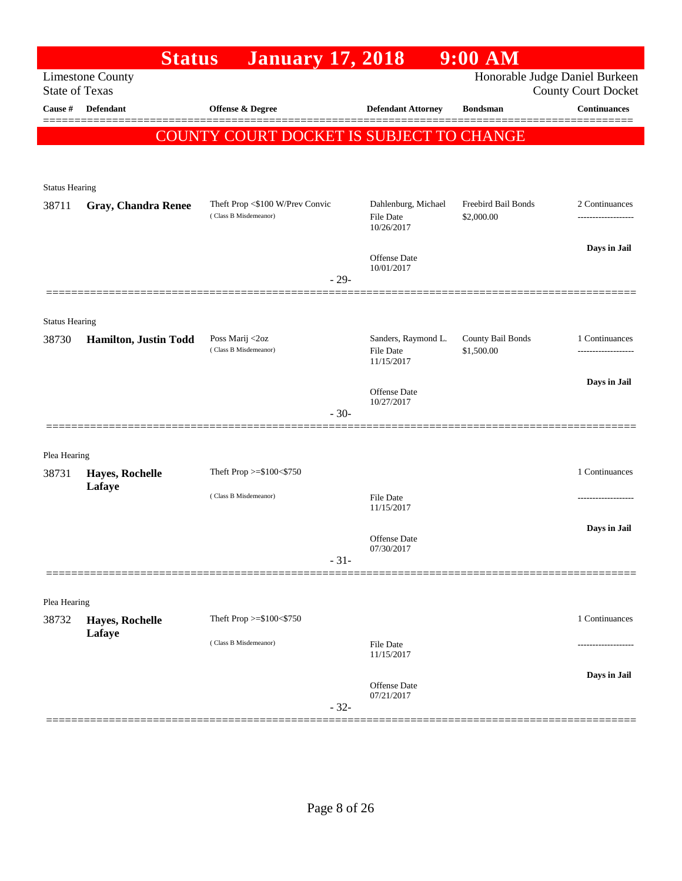|                       | <b>Status</b>           | <b>January 17, 2018</b>                                  |                                                       | $9:00$ AM                         |                                                              |
|-----------------------|-------------------------|----------------------------------------------------------|-------------------------------------------------------|-----------------------------------|--------------------------------------------------------------|
| <b>State of Texas</b> | <b>Limestone County</b> |                                                          |                                                       |                                   | Honorable Judge Daniel Burkeen<br><b>County Court Docket</b> |
| Cause #               | <b>Defendant</b>        | <b>Offense &amp; Degree</b>                              | <b>Defendant Attorney</b>                             | <b>Bondsman</b>                   | <b>Continuances</b>                                          |
|                       |                         | COUNTY COURT DOCKET IS SUBJECT TO CHANGE                 |                                                       |                                   |                                                              |
|                       |                         |                                                          |                                                       |                                   |                                                              |
| <b>Status Hearing</b> |                         |                                                          |                                                       |                                   |                                                              |
| 38711                 | Gray, Chandra Renee     | Theft Prop <\$100 W/Prev Convic<br>(Class B Misdemeanor) | Dahlenburg, Michael<br><b>File Date</b><br>10/26/2017 | Freebird Bail Bonds<br>\$2,000.00 | 2 Continuances                                               |
|                       |                         | $-29-$                                                   | Offense Date<br>10/01/2017                            |                                   | Days in Jail                                                 |
|                       |                         |                                                          |                                                       |                                   |                                                              |
| <b>Status Hearing</b> |                         |                                                          |                                                       |                                   |                                                              |
| 38730                 | Hamilton, Justin Todd   | Poss Marij <2oz<br>(Class B Misdemeanor)                 | Sanders, Raymond L.<br><b>File Date</b><br>11/15/2017 | County Bail Bonds<br>\$1,500.00   | 1 Continuances<br>-----------------                          |
|                       |                         |                                                          | Offense Date<br>10/27/2017                            |                                   | Days in Jail                                                 |
|                       |                         | $-30-$                                                   |                                                       |                                   |                                                              |
| Plea Hearing          |                         |                                                          |                                                       |                                   |                                                              |
| 38731                 | Hayes, Rochelle         | Theft Prop >=\$100<\$750                                 |                                                       |                                   | 1 Continuances                                               |
|                       | Lafaye                  | (Class B Misdemeanor)                                    | <b>File Date</b><br>11/15/2017                        |                                   |                                                              |
|                       |                         |                                                          | Offense Date                                          |                                   | Days in Jail                                                 |
|                       |                         | $-31-$                                                   | 07/30/2017                                            |                                   |                                                              |
|                       |                         |                                                          |                                                       |                                   |                                                              |
| Plea Hearing<br>38732 | Hayes, Rochelle         | Theft Prop >=\$100<\$750                                 |                                                       |                                   | 1 Continuances                                               |
|                       | Lafaye                  | (Class B Misdemeanor)                                    | <b>File Date</b>                                      |                                   |                                                              |
|                       |                         |                                                          | 11/15/2017                                            |                                   |                                                              |
|                       |                         | $-32-$                                                   | Offense Date<br>07/21/2017                            |                                   | Days in Jail                                                 |
|                       |                         |                                                          |                                                       |                                   |                                                              |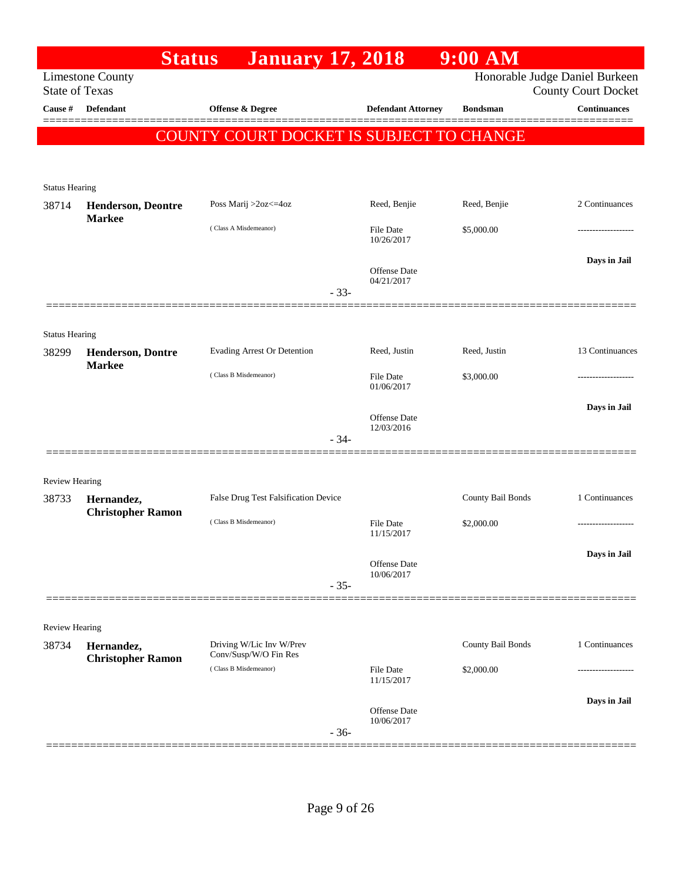|                       | <b>Status</b>                              | <b>January 17, 2018</b>                           |                                   | $9:00$ AM         |                                                   |
|-----------------------|--------------------------------------------|---------------------------------------------------|-----------------------------------|-------------------|---------------------------------------------------|
| <b>State of Texas</b> | <b>Limestone County</b>                    |                                                   |                                   |                   | Honorable Judge Daniel Burkeen                    |
| Cause #               | <b>Defendant</b>                           | Offense & Degree                                  | <b>Defendant Attorney</b>         | <b>Bondsman</b>   | <b>County Court Docket</b><br><b>Continuances</b> |
|                       |                                            |                                                   |                                   |                   |                                                   |
|                       |                                            | COUNTY COURT DOCKET IS SUBJECT TO CHANGE          |                                   |                   |                                                   |
|                       |                                            |                                                   |                                   |                   |                                                   |
| <b>Status Hearing</b> |                                            |                                                   |                                   |                   |                                                   |
| 38714                 | <b>Henderson, Deontre</b><br><b>Markee</b> | Poss Marij >2oz<=4oz                              | Reed, Benjie                      | Reed, Benjie      | 2 Continuances                                    |
|                       |                                            | (Class A Misdemeanor)                             | File Date<br>10/26/2017           | \$5,000.00        |                                                   |
|                       |                                            |                                                   |                                   |                   | Days in Jail                                      |
|                       |                                            |                                                   | <b>Offense</b> Date<br>04/21/2017 |                   |                                                   |
|                       |                                            | $-33-$                                            |                                   |                   |                                                   |
|                       |                                            |                                                   |                                   |                   |                                                   |
| <b>Status Hearing</b> |                                            |                                                   |                                   |                   |                                                   |
| 38299                 | <b>Henderson, Dontre</b><br><b>Markee</b>  | Evading Arrest Or Detention                       | Reed, Justin                      | Reed, Justin      | 13 Continuances                                   |
|                       |                                            | (Class B Misdemeanor)                             | File Date<br>01/06/2017           | \$3,000.00        |                                                   |
|                       |                                            |                                                   |                                   |                   | Days in Jail                                      |
|                       |                                            |                                                   | <b>Offense Date</b><br>12/03/2016 |                   |                                                   |
|                       |                                            | $-34-$                                            |                                   |                   |                                                   |
|                       |                                            |                                                   |                                   |                   |                                                   |
| Review Hearing        |                                            |                                                   |                                   |                   |                                                   |
| 38733                 | Hernandez,<br><b>Christopher Ramon</b>     | False Drug Test Falsification Device              |                                   | County Bail Bonds | 1 Continuances                                    |
|                       |                                            | (Class B Misdemeanor)                             | <b>File Date</b><br>11/15/2017    | \$2,000.00        | -------------------                               |
|                       |                                            |                                                   |                                   |                   |                                                   |
|                       |                                            |                                                   | <b>Offense Date</b><br>10/06/2017 |                   | Days in Jail                                      |
|                       |                                            | $-35-$                                            |                                   |                   |                                                   |
|                       |                                            |                                                   |                                   |                   |                                                   |
| <b>Review Hearing</b> |                                            |                                                   |                                   |                   |                                                   |
| 38734                 | Hernandez,                                 | Driving W/Lic Inv W/Prev<br>Conv/Susp/W/O Fin Res |                                   | County Bail Bonds | 1 Continuances                                    |
|                       | <b>Christopher Ramon</b>                   | (Class B Misdemeanor)                             | <b>File Date</b>                  | \$2,000.00        |                                                   |
|                       |                                            |                                                   | 11/15/2017                        |                   |                                                   |
|                       |                                            |                                                   | <b>Offense Date</b><br>10/06/2017 |                   | Days in Jail                                      |
|                       |                                            | $-36-$                                            |                                   |                   |                                                   |
|                       |                                            |                                                   |                                   |                   |                                                   |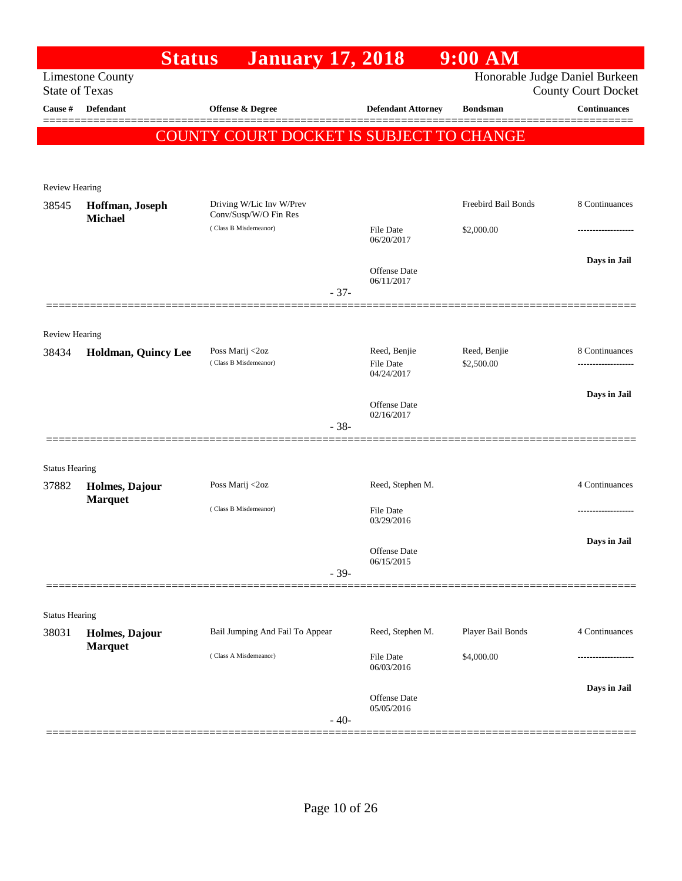|                                | <b>Status</b>                    | <b>January 17, 2018</b>                           |        |                                         | $9:00$ AM                  |                                |
|--------------------------------|----------------------------------|---------------------------------------------------|--------|-----------------------------------------|----------------------------|--------------------------------|
|                                | <b>Limestone County</b>          |                                                   |        |                                         |                            | Honorable Judge Daniel Burkeen |
| <b>State of Texas</b>          |                                  |                                                   |        |                                         |                            | <b>County Court Docket</b>     |
| Cause #                        | Defendant                        | Offense & Degree                                  |        | <b>Defendant Attorney</b>               | <b>Bondsman</b>            | <b>Continuances</b><br>====    |
|                                |                                  | COUNTY COURT DOCKET IS SUBJECT TO CHANGE          |        |                                         |                            |                                |
|                                |                                  |                                                   |        |                                         |                            |                                |
|                                |                                  |                                                   |        |                                         |                            |                                |
| Review Hearing<br>38545        | Hoffman, Joseph                  | Driving W/Lic Inv W/Prev<br>Conv/Susp/W/O Fin Res |        |                                         | Freebird Bail Bonds        | 8 Continuances                 |
|                                | <b>Michael</b>                   | (Class B Misdemeanor)                             |        | File Date<br>06/20/2017                 | \$2,000.00                 |                                |
|                                |                                  |                                                   |        | Offense Date                            |                            | Days in Jail                   |
|                                |                                  |                                                   |        | 06/11/2017                              |                            |                                |
|                                |                                  |                                                   | $-37-$ |                                         |                            |                                |
|                                |                                  |                                                   |        |                                         |                            |                                |
| Review Hearing                 |                                  |                                                   |        |                                         |                            | 8 Continuances                 |
| 38434                          | Holdman, Quincy Lee              | Poss Marij <2oz<br>(Class B Misdemeanor)          |        | Reed, Benjie<br>File Date<br>04/24/2017 | Reed, Benjie<br>\$2,500.00 |                                |
|                                |                                  |                                                   |        |                                         |                            | Days in Jail                   |
|                                |                                  |                                                   |        | Offense Date<br>02/16/2017              |                            |                                |
|                                |                                  |                                                   | $-38-$ |                                         |                            |                                |
|                                |                                  |                                                   |        |                                         |                            |                                |
| <b>Status Hearing</b><br>37882 | Holmes, Dajour                   | Poss Marij <2oz                                   |        | Reed, Stephen M.                        |                            | 4 Continuances                 |
|                                | <b>Marquet</b>                   |                                                   |        |                                         |                            |                                |
|                                |                                  | (Class B Misdemeanor)                             |        | File Date<br>03/29/2016                 |                            |                                |
|                                |                                  |                                                   |        |                                         |                            | Days in Jail                   |
|                                |                                  |                                                   |        | Offense Date<br>06/15/2015              |                            |                                |
|                                |                                  |                                                   | $-39-$ |                                         |                            |                                |
|                                |                                  |                                                   |        |                                         |                            |                                |
| <b>Status Hearing</b>          |                                  |                                                   |        |                                         |                            |                                |
| 38031                          | Holmes, Dajour<br><b>Marquet</b> | Bail Jumping And Fail To Appear                   |        | Reed, Stephen M.                        | Player Bail Bonds          | 4 Continuances                 |
|                                |                                  | (Class A Misdemeanor)                             |        | <b>File Date</b><br>06/03/2016          | \$4,000.00                 |                                |
|                                |                                  |                                                   |        |                                         |                            | Days in Jail                   |
|                                |                                  |                                                   |        | Offense Date<br>05/05/2016              |                            |                                |
|                                |                                  |                                                   | $-40-$ |                                         |                            |                                |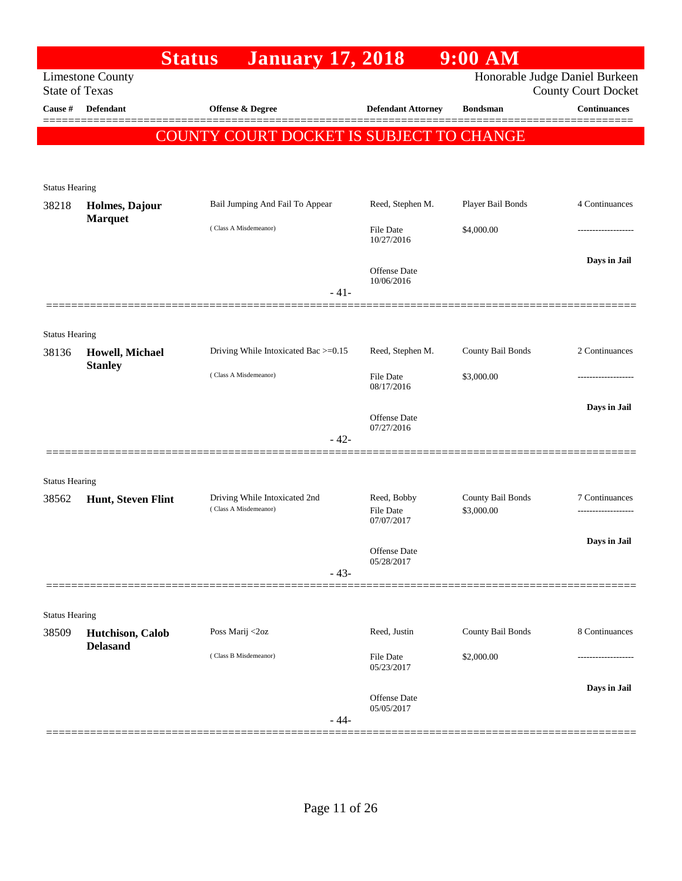|                                | <b>Status</b>           | <b>January 17, 2018</b>                                |                                 | $9:00$ AM                       |                                                              |
|--------------------------------|-------------------------|--------------------------------------------------------|---------------------------------|---------------------------------|--------------------------------------------------------------|
| <b>State of Texas</b>          | <b>Limestone County</b> |                                                        |                                 |                                 | Honorable Judge Daniel Burkeen<br><b>County Court Docket</b> |
| Cause #                        | <b>Defendant</b>        | Offense & Degree                                       | <b>Defendant Attorney</b>       | <b>Bondsman</b>                 | <b>Continuances</b>                                          |
|                                |                         | COUNTY COURT DOCKET IS SUBJECT TO CHANGE               |                                 |                                 |                                                              |
|                                |                         |                                                        |                                 |                                 |                                                              |
|                                |                         |                                                        |                                 |                                 |                                                              |
| <b>Status Hearing</b><br>38218 | Holmes, Dajour          | Bail Jumping And Fail To Appear                        | Reed, Stephen M.                | Player Bail Bonds               | 4 Continuances                                               |
|                                | <b>Marquet</b>          | (Class A Misdemeanor)                                  | <b>File Date</b>                | \$4,000.00                      |                                                              |
|                                |                         |                                                        | 10/27/2016                      |                                 |                                                              |
|                                |                         |                                                        | Offense Date<br>10/06/2016      |                                 | Days in Jail                                                 |
|                                |                         | - 41-                                                  |                                 |                                 |                                                              |
|                                | ================        |                                                        |                                 |                                 |                                                              |
| <b>Status Hearing</b><br>38136 | Howell, Michael         | Driving While Intoxicated Bac >=0.15                   | Reed, Stephen M.                | County Bail Bonds               | 2 Continuances                                               |
|                                | <b>Stanley</b>          | (Class A Misdemeanor)                                  | <b>File Date</b>                | \$3,000.00                      |                                                              |
|                                |                         |                                                        | 08/17/2016                      |                                 |                                                              |
|                                |                         |                                                        | Offense Date                    |                                 | Days in Jail                                                 |
|                                |                         | $-42-$                                                 | 07/27/2016                      |                                 |                                                              |
|                                |                         |                                                        |                                 |                                 |                                                              |
| <b>Status Hearing</b>          |                         |                                                        |                                 |                                 |                                                              |
| 38562                          | Hunt, Steven Flint      | Driving While Intoxicated 2nd<br>(Class A Misdemeanor) | Reed, Bobby<br><b>File Date</b> | County Bail Bonds<br>\$3,000.00 | 7 Continuances                                               |
|                                |                         |                                                        | 07/07/2017                      |                                 | Days in Jail                                                 |
|                                |                         |                                                        | Offense Date<br>05/28/2017      |                                 |                                                              |
|                                |                         | $-43-$                                                 |                                 |                                 |                                                              |
|                                |                         |                                                        |                                 |                                 |                                                              |
| <b>Status Hearing</b><br>38509 | Hutchison, Calob        | Poss Marij <2oz                                        | Reed, Justin                    | County Bail Bonds               | 8 Continuances                                               |
|                                | <b>Delasand</b>         | (Class B Misdemeanor)                                  | File Date                       | \$2,000.00                      |                                                              |
|                                |                         |                                                        | 05/23/2017                      |                                 |                                                              |
|                                |                         |                                                        | <b>Offense Date</b>             |                                 | Days in Jail                                                 |
|                                |                         | - 44-                                                  | 05/05/2017                      |                                 |                                                              |
|                                |                         |                                                        |                                 |                                 |                                                              |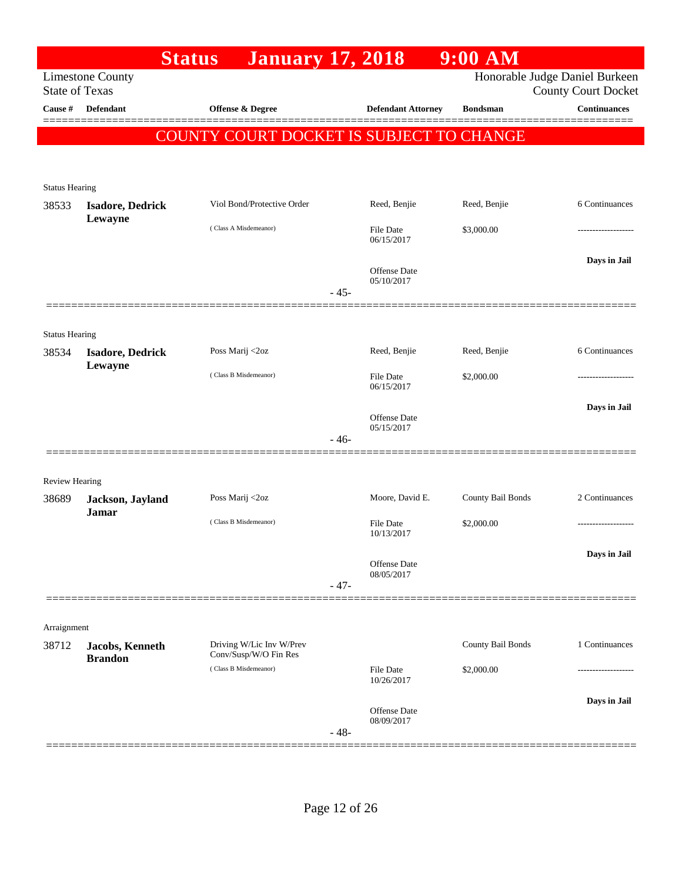|                       |                                                  | <b>Status</b>                                     | <b>January 17, 2018</b>           | $9:00$ AM         |                                                   |
|-----------------------|--------------------------------------------------|---------------------------------------------------|-----------------------------------|-------------------|---------------------------------------------------|
|                       | <b>Limestone County</b><br><b>State of Texas</b> |                                                   |                                   |                   | Honorable Judge Daniel Burkeen                    |
| Cause #               | <b>Defendant</b>                                 | <b>Offense &amp; Degree</b>                       | <b>Defendant Attorney</b>         | <b>Bondsman</b>   | <b>County Court Docket</b><br><b>Continuances</b> |
|                       |                                                  |                                                   |                                   |                   |                                                   |
|                       |                                                  | COUNTY COURT DOCKET IS SUBJECT TO CHANGE          |                                   |                   |                                                   |
|                       |                                                  |                                                   |                                   |                   |                                                   |
| <b>Status Hearing</b> |                                                  |                                                   |                                   |                   |                                                   |
| 38533                 | <b>Isadore, Dedrick</b><br>Lewayne               | Viol Bond/Protective Order                        | Reed, Benjie                      | Reed, Benjie      | 6 Continuances                                    |
|                       |                                                  | (Class A Misdemeanor)                             | File Date                         | \$3,000.00        | ----------------                                  |
|                       |                                                  |                                                   | 06/15/2017                        |                   |                                                   |
|                       |                                                  |                                                   | <b>Offense Date</b>               |                   | Days in Jail                                      |
|                       |                                                  |                                                   | 05/10/2017<br>$-45-$              |                   |                                                   |
|                       |                                                  |                                                   |                                   |                   |                                                   |
| <b>Status Hearing</b> |                                                  |                                                   |                                   |                   |                                                   |
| 38534                 | <b>Isadore, Dedrick</b>                          | Poss Marij <2oz                                   | Reed, Benjie                      | Reed, Benjie      | 6 Continuances                                    |
|                       | Lewayne                                          | (Class B Misdemeanor)                             | File Date                         | \$2,000.00        | .                                                 |
|                       |                                                  |                                                   | 06/15/2017                        |                   |                                                   |
|                       |                                                  |                                                   | <b>Offense Date</b>               |                   | Days in Jail                                      |
|                       |                                                  |                                                   | 05/15/2017                        |                   |                                                   |
|                       |                                                  |                                                   | $-46-$                            |                   |                                                   |
|                       |                                                  |                                                   |                                   |                   |                                                   |
| <b>Review Hearing</b> |                                                  | Poss Marij <2oz                                   | Moore, David E.                   | County Bail Bonds | 2 Continuances                                    |
| 38689                 | Jackson, Jayland<br><b>Jamar</b>                 |                                                   |                                   |                   |                                                   |
|                       |                                                  | (Class B Misdemeanor)                             | File Date<br>10/13/2017           | \$2,000.00        | -------------------                               |
|                       |                                                  |                                                   |                                   |                   | Days in Jail                                      |
|                       |                                                  |                                                   | <b>Offense Date</b><br>08/05/2017 |                   |                                                   |
|                       |                                                  |                                                   | $-47-$                            |                   |                                                   |
|                       |                                                  |                                                   |                                   |                   |                                                   |
| Arraignment           |                                                  |                                                   |                                   |                   |                                                   |
| 38712                 | Jacobs, Kenneth                                  | Driving W/Lic Inv W/Prev<br>Conv/Susp/W/O Fin Res |                                   | County Bail Bonds | 1 Continuances                                    |
|                       | <b>Brandon</b>                                   | (Class B Misdemeanor)                             | <b>File Date</b>                  | \$2,000.00        |                                                   |
|                       |                                                  |                                                   | 10/26/2017                        |                   |                                                   |
|                       |                                                  |                                                   | <b>Offense Date</b>               |                   | Days in Jail                                      |
|                       |                                                  |                                                   | 08/09/2017<br>$-48-$              |                   |                                                   |
|                       |                                                  |                                                   |                                   |                   |                                                   |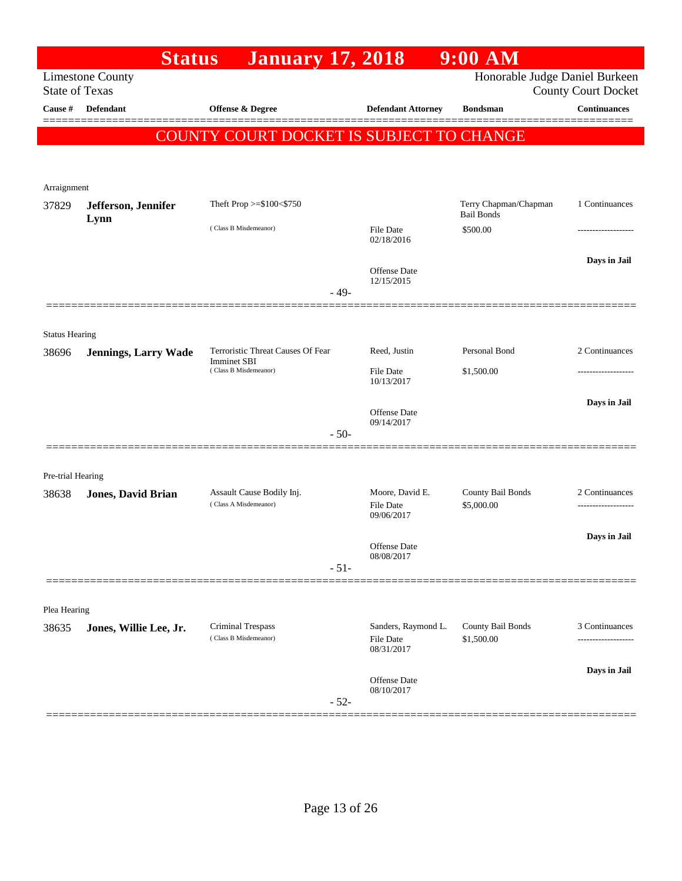|                       | <b>Status</b>               | <b>January 17, 2018</b>                                                          |                                                   | $9:00$ AM                                  |                            |
|-----------------------|-----------------------------|----------------------------------------------------------------------------------|---------------------------------------------------|--------------------------------------------|----------------------------|
| <b>State of Texas</b> | <b>Limestone County</b>     |                                                                                  |                                                   | Honorable Judge Daniel Burkeen             | <b>County Court Docket</b> |
| Cause #               | <b>Defendant</b>            | Offense & Degree                                                                 | <b>Defendant Attorney</b>                         | <b>Bondsman</b>                            | <b>Continuances</b>        |
|                       |                             | COUNTY COURT DOCKET IS SUBJECT TO CHANGE                                         |                                                   |                                            |                            |
| Arraignment           |                             |                                                                                  |                                                   |                                            |                            |
| 37829                 | Jefferson, Jennifer<br>Lynn | Theft Prop >=\$100<\$750                                                         |                                                   | Terry Chapman/Chapman<br><b>Bail Bonds</b> | 1 Continuances             |
|                       |                             | (Class B Misdemeanor)                                                            | <b>File Date</b><br>02/18/2016                    | \$500.00                                   | .                          |
|                       |                             | $-49-$                                                                           | Offense Date<br>12/15/2015                        |                                            | Days in Jail               |
|                       |                             |                                                                                  |                                                   |                                            |                            |
| <b>Status Hearing</b> |                             |                                                                                  |                                                   |                                            |                            |
| 38696                 | <b>Jennings, Larry Wade</b> | Terroristic Threat Causes Of Fear<br><b>Imminet SBI</b><br>(Class B Misdemeanor) | Reed, Justin                                      | Personal Bond                              | 2 Continuances             |
|                       |                             |                                                                                  | File Date<br>10/13/2017                           | \$1,500.00                                 |                            |
|                       |                             |                                                                                  | <b>Offense Date</b><br>09/14/2017                 |                                            | Days in Jail               |
|                       |                             | $-50-$                                                                           |                                                   |                                            |                            |
| Pre-trial Hearing     |                             |                                                                                  |                                                   |                                            |                            |
| 38638                 | <b>Jones, David Brian</b>   | Assault Cause Bodily Inj.<br>(Class A Misdemeanor)                               | Moore, David E.<br><b>File Date</b><br>09/06/2017 | County Bail Bonds<br>\$5,000.00            | 2 Continuances             |
|                       |                             |                                                                                  | Offense Date<br>08/08/2017                        |                                            | Days in Jail               |
|                       |                             | $-51-$                                                                           |                                                   |                                            |                            |
| Plea Hearing          |                             |                                                                                  |                                                   |                                            |                            |
| 38635                 | Jones, Willie Lee, Jr.      | Criminal Trespass<br>(Class B Misdemeanor)                                       | Sanders, Raymond L.<br>File Date<br>08/31/2017    | County Bail Bonds<br>\$1,500.00            | 3 Continuances             |
|                       |                             |                                                                                  | Offense Date<br>08/10/2017                        |                                            | Days in Jail               |
|                       |                             | $-52-$                                                                           |                                                   |                                            |                            |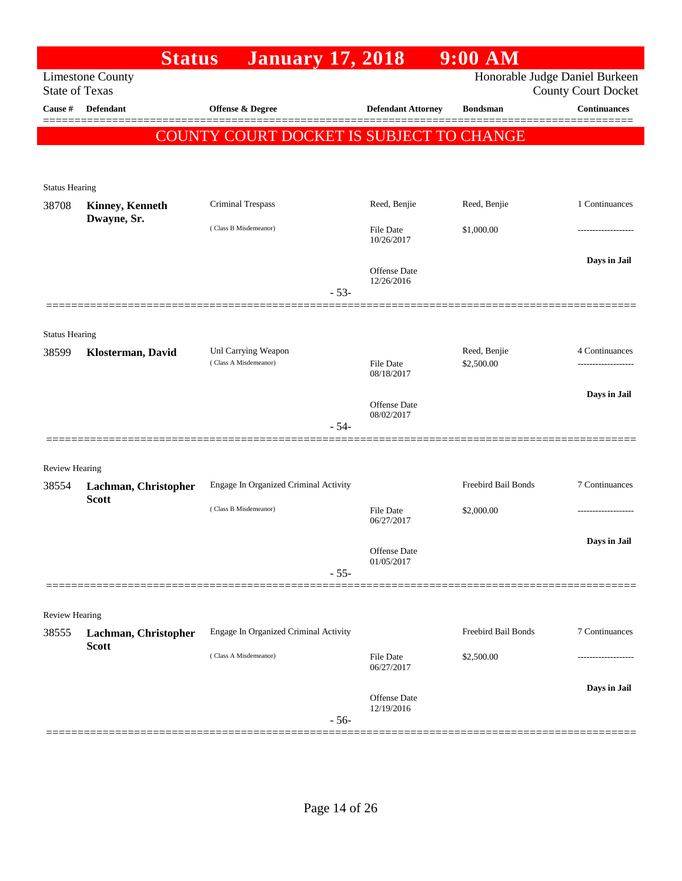|                         | <b>Status</b>                        | <b>January 17, 2018</b>                  |                                   | $9:00$ AM           |                                                   |
|-------------------------|--------------------------------------|------------------------------------------|-----------------------------------|---------------------|---------------------------------------------------|
| <b>State of Texas</b>   | <b>Limestone County</b>              |                                          |                                   |                     | Honorable Judge Daniel Burkeen                    |
| Cause #                 | <b>Defendant</b>                     | <b>Offense &amp; Degree</b>              | <b>Defendant Attorney</b>         | <b>Bondsman</b>     | <b>County Court Docket</b><br><b>Continuances</b> |
|                         |                                      |                                          |                                   |                     |                                                   |
|                         |                                      | COUNTY COURT DOCKET IS SUBJECT TO CHANGE |                                   |                     |                                                   |
|                         |                                      |                                          |                                   |                     |                                                   |
| <b>Status Hearing</b>   |                                      |                                          |                                   |                     |                                                   |
| 38708                   | <b>Kinney, Kenneth</b>               | Criminal Trespass                        | Reed, Benjie                      | Reed, Benjie        | 1 Continuances                                    |
|                         | Dwayne, Sr.                          | (Class B Misdemeanor)                    | <b>File Date</b><br>10/26/2017    | \$1,000.00          |                                                   |
|                         |                                      |                                          | <b>Offense Date</b>               |                     | Days in Jail                                      |
|                         |                                      | $-53-$                                   | 12/26/2016                        |                     |                                                   |
|                         |                                      |                                          |                                   |                     |                                                   |
| <b>Status Hearing</b>   |                                      |                                          |                                   |                     |                                                   |
| 38599                   | Klosterman, David                    | Unl Carrying Weapon                      |                                   | Reed, Benjie        | 4 Continuances                                    |
|                         |                                      | (Class A Misdemeanor)                    | <b>File Date</b><br>08/18/2017    | \$2,500.00          | .                                                 |
|                         |                                      |                                          |                                   |                     | Days in Jail                                      |
|                         |                                      |                                          | <b>Offense Date</b><br>08/02/2017 |                     |                                                   |
|                         |                                      | $-54-$                                   |                                   |                     |                                                   |
|                         |                                      |                                          |                                   |                     |                                                   |
| <b>Review Hearing</b>   |                                      | Engage In Organized Criminal Activity    |                                   | Freebird Bail Bonds | 7 Continuances                                    |
| 38554                   | Lachman, Christopher<br><b>Scott</b> |                                          |                                   |                     |                                                   |
|                         |                                      | (Class B Misdemeanor)                    | File Date<br>06/27/2017           | \$2,000.00          | .                                                 |
|                         |                                      |                                          |                                   |                     | Days in Jail                                      |
|                         |                                      |                                          | Offense Date<br>01/05/2017        |                     |                                                   |
|                         |                                      | $-55-$                                   |                                   |                     |                                                   |
|                         |                                      |                                          |                                   |                     |                                                   |
| Review Hearing<br>38555 |                                      | Engage In Organized Criminal Activity    |                                   | Freebird Bail Bonds | 7 Continuances                                    |
|                         | Lachman, Christopher<br><b>Scott</b> |                                          |                                   |                     |                                                   |
|                         |                                      | (Class A Misdemeanor)                    | <b>File Date</b><br>06/27/2017    | \$2,500.00          | ----------------                                  |
|                         |                                      |                                          | <b>Offense Date</b>               |                     | Days in Jail                                      |
|                         |                                      |                                          | 12/19/2016                        |                     |                                                   |
|                         |                                      | $-56-$                                   |                                   |                     |                                                   |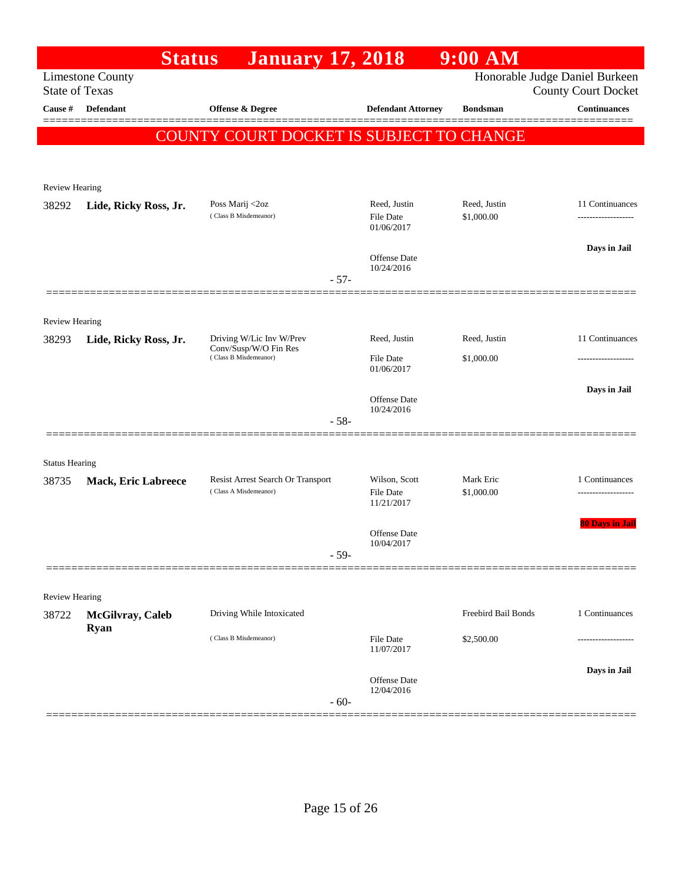|                       | <b>Status</b>                   | <b>January 17, 2018</b>                                    |                                                 | $9:00$ AM                  |                                                              |
|-----------------------|---------------------------------|------------------------------------------------------------|-------------------------------------------------|----------------------------|--------------------------------------------------------------|
| <b>State of Texas</b> | <b>Limestone County</b>         |                                                            |                                                 |                            | Honorable Judge Daniel Burkeen<br><b>County Court Docket</b> |
| Cause #               | <b>Defendant</b>                | Offense & Degree                                           | <b>Defendant Attorney</b>                       | <b>Bondsman</b>            | Continuances                                                 |
|                       |                                 | COUNTY COURT DOCKET IS SUBJECT TO CHANGE                   |                                                 |                            |                                                              |
| <b>Review Hearing</b> |                                 |                                                            |                                                 |                            |                                                              |
| 38292                 | Lide, Ricky Ross, Jr.           | Poss Marij <2oz<br>(Class B Misdemeanor)                   | Reed, Justin<br>File Date<br>01/06/2017         | Reed, Justin<br>\$1,000.00 | 11 Continuances<br>-------------------                       |
|                       |                                 | $-57-$                                                     | Offense Date<br>10/24/2016                      |                            | Days in Jail                                                 |
| <b>Review Hearing</b> |                                 |                                                            |                                                 |                            |                                                              |
| 38293                 | Lide, Ricky Ross, Jr.           | Driving W/Lic Inv W/Prev<br>Conv/Susp/W/O Fin Res          | Reed, Justin                                    | Reed, Justin               | 11 Continuances                                              |
|                       |                                 | (Class B Misdemeanor)                                      | File Date<br>01/06/2017                         | \$1,000.00                 |                                                              |
|                       |                                 | $-58-$                                                     | <b>Offense Date</b><br>10/24/2016               |                            | Days in Jail                                                 |
| <b>Status Hearing</b> |                                 |                                                            |                                                 |                            |                                                              |
| 38735                 | <b>Mack, Eric Labreece</b>      | Resist Arrest Search Or Transport<br>(Class A Misdemeanor) | Wilson, Scott<br><b>File Date</b><br>11/21/2017 | Mark Eric<br>\$1,000.00    | 1 Continuances<br>-------------------                        |
|                       |                                 | $-59-$                                                     | Offense Date<br>10/04/2017                      |                            | <b>80 Days in Jail</b>                                       |
|                       |                                 |                                                            |                                                 |                            |                                                              |
| <b>Review Hearing</b> |                                 |                                                            |                                                 |                            |                                                              |
| 38722                 | McGilvray, Caleb<br><b>Ryan</b> | Driving While Intoxicated                                  |                                                 | Freebird Bail Bonds        | 1 Continuances                                               |
|                       |                                 | (Class B Misdemeanor)                                      | File Date<br>11/07/2017                         | \$2,500.00                 |                                                              |
|                       |                                 | $-60-$                                                     | <b>Offense</b> Date<br>12/04/2016               |                            | Days in Jail                                                 |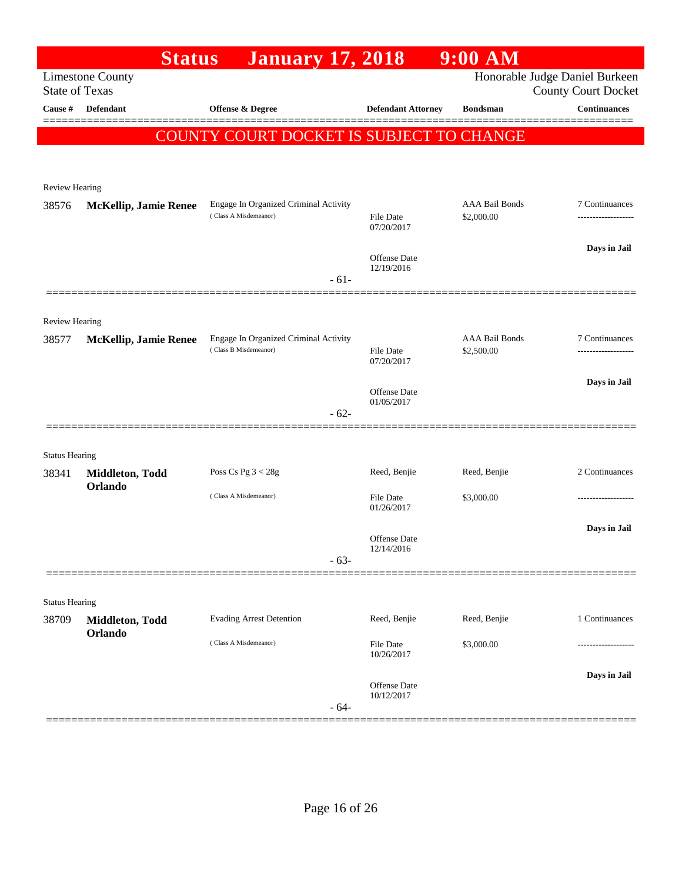|                       | <b>Status</b>                | <b>January 17, 2018</b>                                        |                                   | $9:00$ AM                           |                                                              |
|-----------------------|------------------------------|----------------------------------------------------------------|-----------------------------------|-------------------------------------|--------------------------------------------------------------|
| <b>State of Texas</b> | <b>Limestone County</b>      |                                                                |                                   |                                     | Honorable Judge Daniel Burkeen<br><b>County Court Docket</b> |
| Cause #               | <b>Defendant</b>             | <b>Offense &amp; Degree</b>                                    | <b>Defendant Attorney</b>         | <b>Bondsman</b>                     | <b>Continuances</b>                                          |
|                       |                              | COUNTY COURT DOCKET IS SUBJECT TO CHANGE                       |                                   |                                     |                                                              |
| <b>Review Hearing</b> |                              |                                                                |                                   |                                     |                                                              |
| 38576                 | <b>McKellip, Jamie Renee</b> | Engage In Organized Criminal Activity<br>(Class A Misdemeanor) | <b>File Date</b><br>07/20/2017    | <b>AAA Bail Bonds</b><br>\$2,000.00 | 7 Continuances                                               |
|                       |                              | $-61-$                                                         | Offense Date<br>12/19/2016        |                                     | Days in Jail                                                 |
|                       |                              |                                                                |                                   |                                     |                                                              |
| <b>Review Hearing</b> |                              | Engage In Organized Criminal Activity                          |                                   | <b>AAA Bail Bonds</b>               | 7 Continuances                                               |
| 38577                 | <b>McKellip, Jamie Renee</b> | (Class B Misdemeanor)                                          | <b>File Date</b><br>07/20/2017    | \$2,500.00                          |                                                              |
|                       |                              | $-62-$                                                         | <b>Offense Date</b><br>01/05/2017 |                                     | Days in Jail                                                 |
|                       |                              |                                                                |                                   |                                     |                                                              |
| <b>Status Hearing</b> |                              |                                                                |                                   |                                     |                                                              |
| 38341                 | Middleton, Todd<br>Orlando   | Poss Cs Pg $3 < 28g$                                           | Reed, Benjie                      | Reed, Benjie                        | 2 Continuances                                               |
|                       |                              | (Class A Misdemeanor)                                          | <b>File Date</b><br>01/26/2017    | \$3,000.00                          |                                                              |
|                       |                              | $-63-$                                                         | <b>Offense</b> Date<br>12/14/2016 |                                     | Days in Jail                                                 |
|                       |                              |                                                                |                                   |                                     |                                                              |
| <b>Status Hearing</b> |                              |                                                                |                                   |                                     |                                                              |
| 38709                 | Middleton, Todd              | <b>Evading Arrest Detention</b>                                | Reed, Benjie                      | Reed, Benjie                        | 1 Continuances                                               |
|                       | Orlando                      | (Class A Misdemeanor)                                          | <b>File Date</b><br>10/26/2017    | \$3,000.00                          |                                                              |
|                       |                              | $-64-$                                                         | Offense Date<br>10/12/2017        |                                     | Days in Jail                                                 |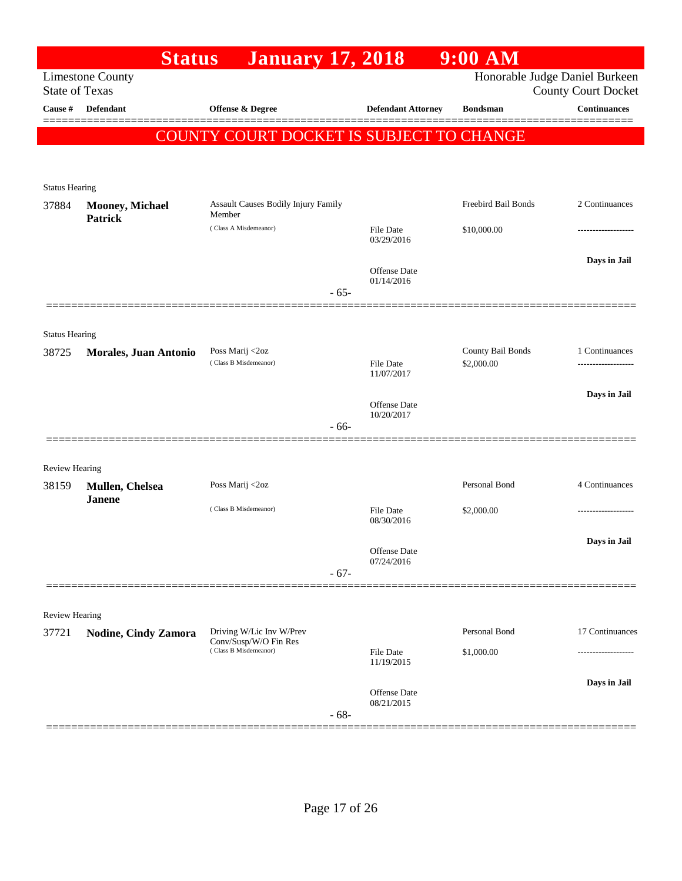|                       | <b>Status</b>                     | <b>January 17, 2018</b>                         |                  |                                   | $9:00$ AM                           |                                                              |
|-----------------------|-----------------------------------|-------------------------------------------------|------------------|-----------------------------------|-------------------------------------|--------------------------------------------------------------|
| <b>State of Texas</b> | <b>Limestone County</b>           |                                                 |                  |                                   |                                     | Honorable Judge Daniel Burkeen<br><b>County Court Docket</b> |
| Cause #               | <b>Defendant</b>                  | <b>Offense &amp; Degree</b>                     |                  | <b>Defendant Attorney</b>         | <b>Bondsman</b>                     | <b>Continuances</b>                                          |
|                       |                                   | <b>COUNTY COURT DOCKET IS SUBJECT TO CHANGE</b> |                  |                                   |                                     |                                                              |
|                       |                                   |                                                 |                  |                                   |                                     |                                                              |
|                       |                                   |                                                 |                  |                                   |                                     |                                                              |
| <b>Status Hearing</b> |                                   | <b>Assault Causes Bodily Injury Family</b>      |                  |                                   | Freebird Bail Bonds                 | 2 Continuances                                               |
| 37884                 | Mooney, Michael<br><b>Patrick</b> | Member                                          |                  |                                   |                                     |                                                              |
|                       |                                   | (Class A Misdemeanor)                           |                  | <b>File Date</b><br>03/29/2016    | \$10,000.00                         |                                                              |
|                       |                                   |                                                 |                  |                                   |                                     | Days in Jail                                                 |
|                       |                                   |                                                 |                  | <b>Offense</b> Date<br>01/14/2016 |                                     |                                                              |
|                       |                                   |                                                 | $-65-$           |                                   |                                     |                                                              |
|                       |                                   |                                                 |                  |                                   |                                     |                                                              |
| <b>Status Hearing</b> |                                   |                                                 |                  |                                   |                                     |                                                              |
| 38725                 | Morales, Juan Antonio             | Poss Marij <2oz<br>(Class B Misdemeanor)        | <b>File Date</b> | County Bail Bonds<br>\$2,000.00   | 1 Continuances<br>----------------- |                                                              |
|                       |                                   |                                                 |                  | 11/07/2017                        |                                     |                                                              |
|                       |                                   |                                                 |                  | <b>Offense</b> Date               |                                     | Days in Jail                                                 |
|                       |                                   |                                                 | $-66-$           | 10/20/2017                        |                                     |                                                              |
|                       |                                   |                                                 |                  |                                   |                                     |                                                              |
| <b>Review Hearing</b> |                                   |                                                 |                  |                                   |                                     |                                                              |
| 38159                 | Mullen, Chelsea                   | Poss Marij <2oz                                 |                  |                                   | Personal Bond                       | 4 Continuances                                               |
|                       | <b>Janene</b>                     | (Class B Misdemeanor)                           |                  | <b>File Date</b>                  | \$2,000.00                          | ----------------                                             |
|                       |                                   |                                                 |                  | 08/30/2016                        |                                     |                                                              |
|                       |                                   |                                                 |                  | Offense Date                      |                                     | Days in Jail                                                 |
|                       |                                   |                                                 | $-67-$           | 07/24/2016                        |                                     |                                                              |
|                       |                                   |                                                 |                  |                                   |                                     |                                                              |
| Review Hearing        |                                   |                                                 |                  |                                   |                                     |                                                              |
| 37721                 | <b>Nodine, Cindy Zamora</b>       | Driving W/Lic Inv W/Prev                        |                  |                                   | Personal Bond                       | 17 Continuances                                              |
|                       |                                   | Conv/Susp/W/O Fin Res<br>(Class B Misdemeanor)  |                  | <b>File Date</b>                  | \$1,000.00                          |                                                              |
|                       |                                   |                                                 |                  | 11/19/2015                        |                                     |                                                              |
|                       |                                   |                                                 |                  | Offense Date                      |                                     | Days in Jail                                                 |
|                       |                                   |                                                 | $-68-$           | 08/21/2015                        |                                     |                                                              |
|                       |                                   |                                                 |                  |                                   |                                     |                                                              |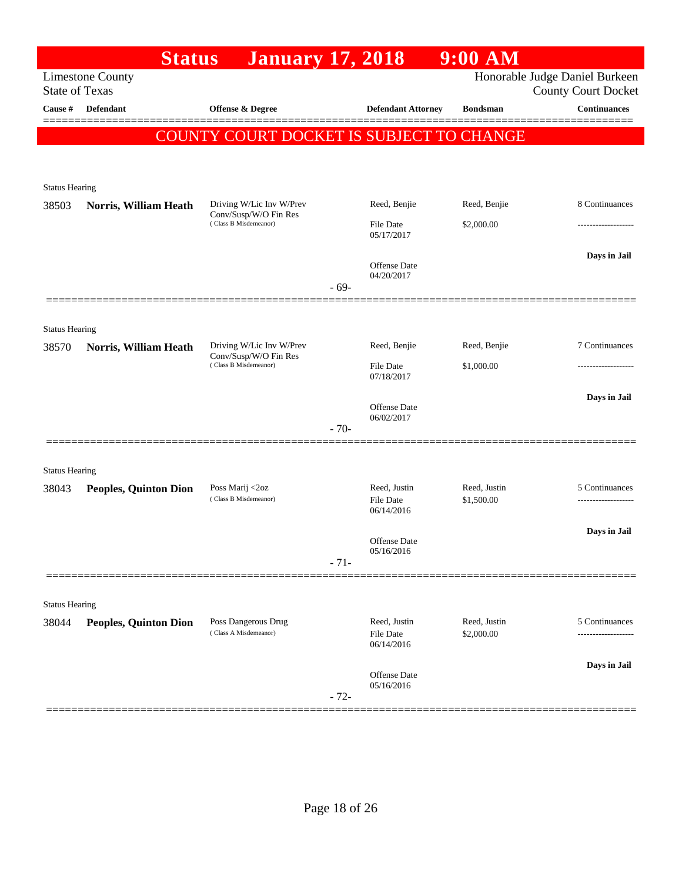|                       | <b>Status</b>                | <b>January 17, 2018</b>                                                    |              |                                   | $9:00$ AM                  |                                                   |
|-----------------------|------------------------------|----------------------------------------------------------------------------|--------------|-----------------------------------|----------------------------|---------------------------------------------------|
| <b>State of Texas</b> | <b>Limestone County</b>      |                                                                            |              |                                   |                            | Honorable Judge Daniel Burkeen                    |
| Cause #               | <b>Defendant</b>             | <b>Offense &amp; Degree</b>                                                |              | <b>Defendant Attorney</b>         | <b>Bondsman</b>            | <b>County Court Docket</b><br><b>Continuances</b> |
|                       |                              |                                                                            |              |                                   |                            |                                                   |
|                       |                              | COUNTY COURT DOCKET IS SUBJECT TO CHANGE                                   |              |                                   |                            |                                                   |
|                       |                              |                                                                            |              |                                   |                            |                                                   |
| <b>Status Hearing</b> |                              |                                                                            |              |                                   |                            |                                                   |
| 38503                 | Norris, William Heath        | Driving W/Lic Inv W/Prev<br>Conv/Susp/W/O Fin Res                          |              | Reed, Benjie                      | Reed, Benjie               | 8 Continuances                                    |
|                       |                              | (Class B Misdemeanor)                                                      |              | <b>File Date</b><br>05/17/2017    | \$2,000.00                 | .                                                 |
|                       |                              |                                                                            |              |                                   |                            | Days in Jail                                      |
|                       |                              |                                                                            |              | <b>Offense Date</b><br>04/20/2017 |                            |                                                   |
|                       |                              |                                                                            | $-69-$       |                                   |                            |                                                   |
|                       |                              |                                                                            |              |                                   |                            |                                                   |
| <b>Status Hearing</b> |                              |                                                                            |              |                                   |                            |                                                   |
| 38570                 | Norris, William Heath        | Driving W/Lic Inv W/Prev<br>Conv/Susp/W/O Fin Res<br>(Class B Misdemeanor) | Reed, Benjie | Reed, Benjie                      | 7 Continuances             |                                                   |
|                       |                              |                                                                            |              | <b>File Date</b><br>07/18/2017    | \$1,000.00                 | .                                                 |
|                       |                              |                                                                            |              | <b>Offense Date</b>               |                            | Days in Jail                                      |
|                       |                              |                                                                            | $-70-$       | 06/02/2017                        |                            |                                                   |
|                       |                              |                                                                            |              |                                   |                            |                                                   |
| <b>Status Hearing</b> |                              |                                                                            |              |                                   |                            |                                                   |
| 38043                 | <b>Peoples, Quinton Dion</b> | Poss Marij <2oz                                                            |              | Reed, Justin                      | Reed, Justin               | 5 Continuances                                    |
|                       |                              | (Class B Misdemeanor)                                                      |              | <b>File Date</b><br>06/14/2016    | \$1,500.00                 | -------------------                               |
|                       |                              |                                                                            |              |                                   |                            | Days in Jail                                      |
|                       |                              |                                                                            |              | <b>Offense Date</b><br>05/16/2016 |                            |                                                   |
|                       |                              |                                                                            | $-71-$       |                                   |                            |                                                   |
|                       |                              |                                                                            |              |                                   |                            |                                                   |
| <b>Status Hearing</b> |                              |                                                                            |              |                                   |                            |                                                   |
| 38044                 | <b>Peoples, Quinton Dion</b> | Poss Dangerous Drug<br>(Class A Misdemeanor)                               |              | Reed, Justin<br>File Date         | Reed, Justin<br>\$2,000.00 | 5 Continuances                                    |
|                       |                              |                                                                            |              | 06/14/2016                        |                            |                                                   |
|                       |                              |                                                                            |              | Offense Date                      |                            | Days in Jail                                      |
|                       |                              |                                                                            | $-72-$       | 05/16/2016                        |                            |                                                   |
|                       |                              |                                                                            |              |                                   |                            |                                                   |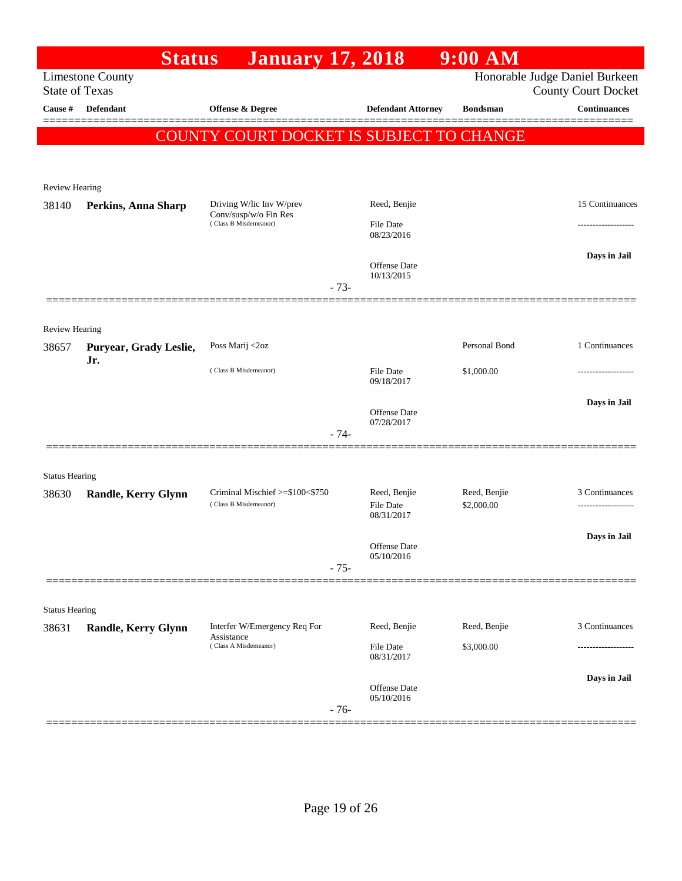|                       | <b>Status</b>              | <b>January 17, 2018</b>                                             |                                                | $9:00$ AM                  |                                                              |
|-----------------------|----------------------------|---------------------------------------------------------------------|------------------------------------------------|----------------------------|--------------------------------------------------------------|
| <b>State of Texas</b> | <b>Limestone County</b>    |                                                                     |                                                |                            | Honorable Judge Daniel Burkeen<br><b>County Court Docket</b> |
| Cause #               | <b>Defendant</b>           | <b>Offense &amp; Degree</b>                                         | <b>Defendant Attorney</b>                      | <b>Bondsman</b>            | <b>Continuances</b>                                          |
|                       |                            | COUNTY COURT DOCKET IS SUBJECT TO CHANGE                            |                                                |                            |                                                              |
| <b>Review Hearing</b> |                            |                                                                     |                                                |                            |                                                              |
| 38140                 | Perkins, Anna Sharp        | Driving W/lic Inv W/prev<br>Conv/susp/w/o Fin Res                   | Reed, Benjie                                   |                            | 15 Continuances                                              |
|                       |                            | (Class B Misdemeanor)                                               | <b>File Date</b><br>08/23/2016                 |                            | -----------------                                            |
|                       |                            | $-73-$                                                              | <b>Offense Date</b><br>10/13/2015              |                            | Days in Jail                                                 |
| Review Hearing        |                            |                                                                     |                                                |                            |                                                              |
| 38657                 | Puryear, Grady Leslie,     | Poss Marij <2oz                                                     |                                                | Personal Bond              | 1 Continuances                                               |
|                       | Jr.                        | (Class B Misdemeanor)                                               | <b>File Date</b><br>09/18/2017                 | \$1,000.00                 | ----------------                                             |
|                       |                            | $-74-$                                                              | <b>Offense Date</b><br>07/28/2017              |                            | Days in Jail                                                 |
| <b>Status Hearing</b> |                            |                                                                     |                                                |                            |                                                              |
| 38630                 | <b>Randle, Kerry Glynn</b> | Criminal Mischief >=\$100<\$750<br>(Class B Misdemeanor)            | Reed, Benjie<br><b>File Date</b><br>08/31/2017 | Reed, Benjie<br>\$2,000.00 | 3 Continuances<br>.                                          |
|                       |                            | $-75-$                                                              | Offense Date<br>05/10/2016                     |                            | Days in Jail                                                 |
|                       |                            |                                                                     |                                                |                            |                                                              |
| <b>Status Hearing</b> |                            |                                                                     |                                                |                            |                                                              |
| 38631                 | <b>Randle, Kerry Glynn</b> | Interfer W/Emergency Req For<br>Assistance<br>(Class A Misdemeanor) | Reed, Benjie<br>File Date                      | Reed, Benjie<br>\$3,000.00 | 3 Continuances                                               |
|                       |                            |                                                                     | 08/31/2017                                     |                            |                                                              |
|                       |                            | $-76-$                                                              | Offense Date<br>05/10/2016                     |                            | Days in Jail<br>===================                          |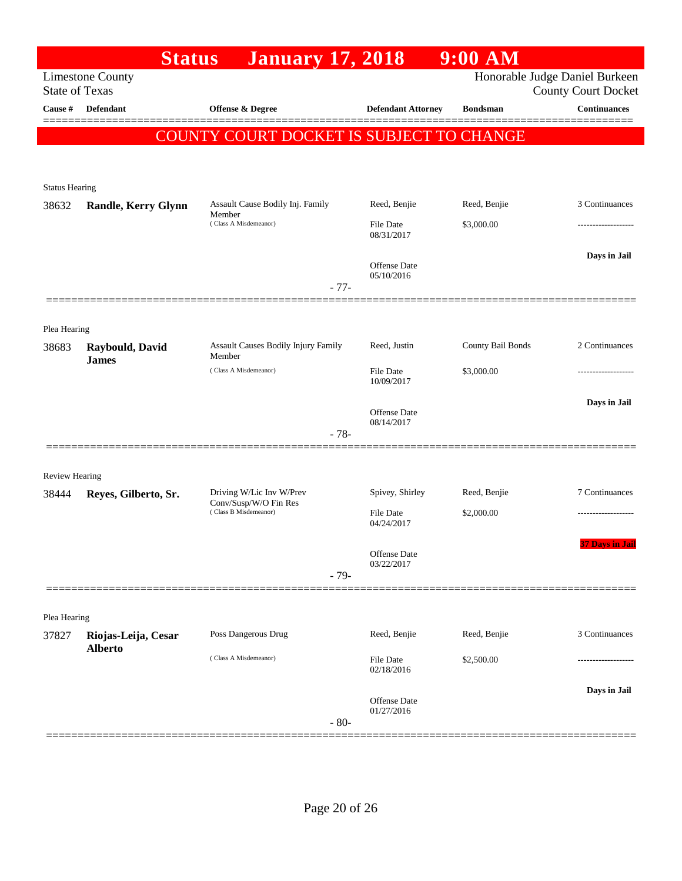|                                | <b>Status</b>                         | <b>January 17, 2018</b>                        |                                   | $9:00$ AM         |                                                              |
|--------------------------------|---------------------------------------|------------------------------------------------|-----------------------------------|-------------------|--------------------------------------------------------------|
| <b>State of Texas</b>          | <b>Limestone County</b>               |                                                |                                   |                   | Honorable Judge Daniel Burkeen<br><b>County Court Docket</b> |
| Cause #                        | <b>Defendant</b>                      | Offense & Degree                               | <b>Defendant Attorney</b>         | <b>Bondsman</b>   | <b>Continuances</b>                                          |
|                                |                                       | COUNTY COURT DOCKET IS SUBJECT TO CHANGE       |                                   |                   |                                                              |
|                                |                                       |                                                |                                   |                   |                                                              |
|                                |                                       |                                                |                                   |                   |                                                              |
| <b>Status Hearing</b><br>38632 | <b>Randle, Kerry Glynn</b>            | Assault Cause Bodily Inj. Family               | Reed, Benjie                      | Reed, Benjie      | 3 Continuances                                               |
|                                |                                       | Member<br>(Class A Misdemeanor)                | <b>File Date</b><br>08/31/2017    | \$3,000.00        |                                                              |
|                                |                                       |                                                |                                   |                   | Days in Jail                                                 |
|                                |                                       | $-77-$                                         | Offense Date<br>05/10/2016        |                   |                                                              |
|                                |                                       |                                                |                                   |                   |                                                              |
| Plea Hearing                   |                                       |                                                |                                   |                   |                                                              |
| 38683                          | Raybould, David                       | Assault Causes Bodily Injury Family<br>Member  | Reed, Justin                      | County Bail Bonds | 2 Continuances                                               |
|                                | <b>James</b>                          | (Class A Misdemeanor)                          | <b>File Date</b><br>10/09/2017    | \$3,000.00        |                                                              |
|                                |                                       |                                                |                                   |                   | Days in Jail                                                 |
|                                |                                       | $-78-$                                         | Offense Date<br>08/14/2017        |                   |                                                              |
|                                |                                       |                                                |                                   |                   |                                                              |
| <b>Review Hearing</b>          |                                       |                                                |                                   |                   |                                                              |
| 38444                          | Reyes, Gilberto, Sr.                  | Driving W/Lic Inv W/Prev                       | Spivey, Shirley                   | Reed, Benjie      | 7 Continuances                                               |
|                                |                                       | Conv/Susp/W/O Fin Res<br>(Class B Misdemeanor) | <b>File Date</b><br>04/24/2017    | \$2,000.00        |                                                              |
|                                |                                       |                                                | Offense Date<br>03/22/2017        |                   | <b>37 Days in Jail</b>                                       |
|                                |                                       | $-79-$                                         |                                   |                   |                                                              |
|                                |                                       |                                                |                                   |                   |                                                              |
| Plea Hearing                   |                                       |                                                |                                   |                   |                                                              |
| 37827                          | Riojas-Leija, Cesar<br><b>Alberto</b> | Poss Dangerous Drug                            | Reed, Benjie                      | Reed, Benjie      | 3 Continuances                                               |
|                                |                                       | (Class A Misdemeanor)                          | <b>File Date</b><br>02/18/2016    | \$2,500.00        |                                                              |
|                                |                                       |                                                |                                   |                   | Days in Jail                                                 |
|                                |                                       | $-80-$                                         | <b>Offense Date</b><br>01/27/2016 |                   |                                                              |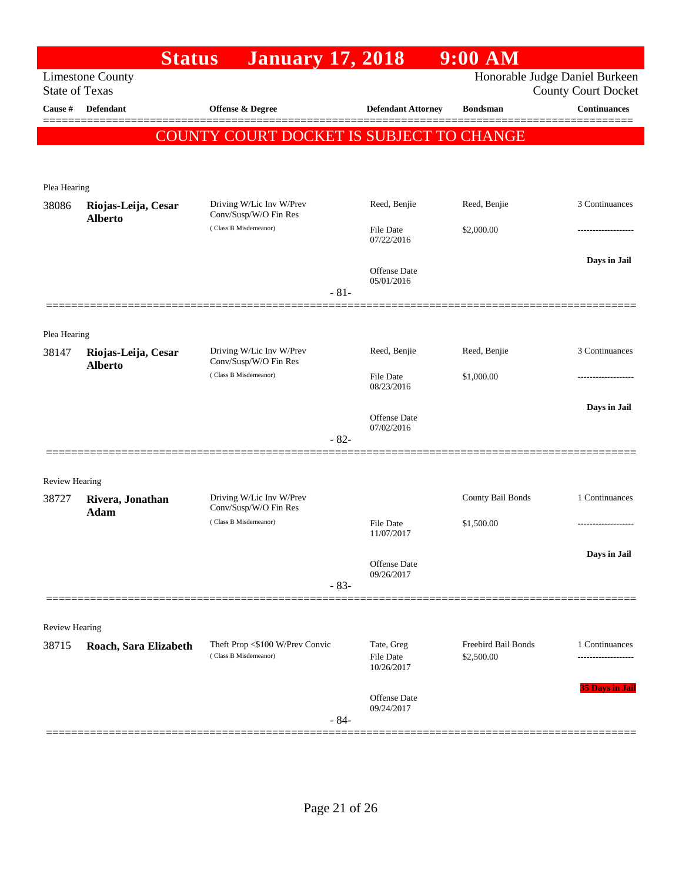|                                  | <b>Status</b>                         | <b>January 17, 2018</b>                                  |                                              | 9:00 AM                           |                                                   |
|----------------------------------|---------------------------------------|----------------------------------------------------------|----------------------------------------------|-----------------------------------|---------------------------------------------------|
|                                  | <b>Limestone County</b>               |                                                          |                                              |                                   | Honorable Judge Daniel Burkeen                    |
| <b>State of Texas</b><br>Cause # | Defendant                             | Offense & Degree                                         | <b>Defendant Attorney</b>                    | <b>Bondsman</b>                   | <b>County Court Docket</b><br><b>Continuances</b> |
|                                  |                                       | COUNTY COURT DOCKET IS SUBJECT TO CHANGE                 |                                              |                                   | =======                                           |
|                                  |                                       |                                                          |                                              |                                   |                                                   |
|                                  |                                       |                                                          |                                              |                                   |                                                   |
| Plea Hearing<br>38086            | Riojas-Leija, Cesar<br><b>Alberto</b> | Driving W/Lic Inv W/Prev<br>Conv/Susp/W/O Fin Res        | Reed, Benjie                                 | Reed, Benjie                      | 3 Continuances                                    |
|                                  |                                       | (Class B Misdemeanor)                                    | <b>File Date</b><br>07/22/2016               | \$2,000.00                        |                                                   |
|                                  |                                       |                                                          | Offense Date<br>05/01/2016                   |                                   | Days in Jail                                      |
|                                  |                                       | $-81-$                                                   |                                              |                                   |                                                   |
| Plea Hearing                     |                                       |                                                          |                                              |                                   |                                                   |
| 38147                            | Riojas-Leija, Cesar<br><b>Alberto</b> | Driving W/Lic Inv W/Prev<br>Conv/Susp/W/O Fin Res        | Reed, Benjie                                 | Reed, Benjie                      | 3 Continuances                                    |
|                                  |                                       | (Class B Misdemeanor)                                    | <b>File Date</b><br>08/23/2016               | \$1,000.00                        |                                                   |
|                                  |                                       |                                                          | Offense Date                                 |                                   | Days in Jail                                      |
|                                  |                                       | $-82-$                                                   | 07/02/2016                                   |                                   |                                                   |
|                                  |                                       |                                                          |                                              |                                   |                                                   |
| <b>Review Hearing</b>            |                                       |                                                          |                                              |                                   |                                                   |
| 38727                            | Rivera, Jonathan<br><b>Adam</b>       | Driving W/Lic Inv W/Prev<br>Conv/Susp/W/O Fin Res        |                                              | County Bail Bonds                 | 1 Continuances                                    |
|                                  |                                       | (Class B Misdemeanor)                                    | <b>File Date</b><br>11/07/2017               | \$1,500.00                        |                                                   |
|                                  |                                       |                                                          | <b>Offense</b> Date                          |                                   | Days in Jail                                      |
|                                  |                                       | $-83-$                                                   | 09/26/2017                                   |                                   |                                                   |
|                                  |                                       |                                                          |                                              |                                   |                                                   |
| <b>Review Hearing</b>            |                                       |                                                          |                                              |                                   |                                                   |
| 38715                            | Roach, Sara Elizabeth                 | Theft Prop <\$100 W/Prev Convic<br>(Class B Misdemeanor) | Tate, Greg<br><b>File Date</b><br>10/26/2017 | Freebird Bail Bonds<br>\$2,500.00 | 1 Continuances                                    |
|                                  |                                       | $-84-$                                                   | <b>Offense</b> Date<br>09/24/2017            |                                   | <b>35 Days in Jail</b>                            |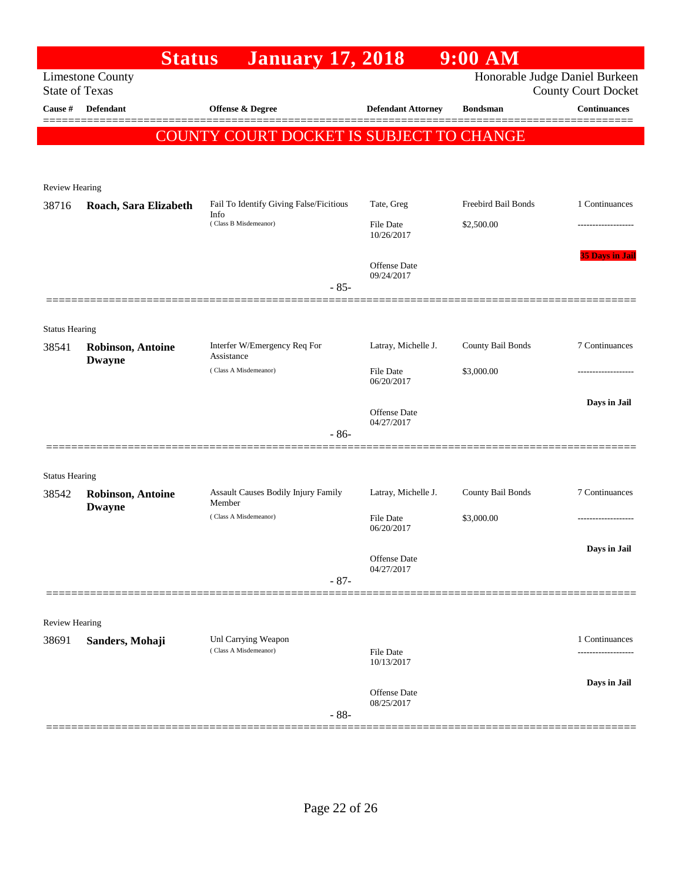|                                | <b>Status</b>                             | <b>January 17, 2018</b>                       |                                   | $9:00$ AM                      |                                      |
|--------------------------------|-------------------------------------------|-----------------------------------------------|-----------------------------------|--------------------------------|--------------------------------------|
| <b>State of Texas</b>          | <b>Limestone County</b>                   |                                               |                                   | Honorable Judge Daniel Burkeen | <b>County Court Docket</b>           |
| Cause #                        | Defendant                                 | Offense & Degree                              | <b>Defendant Attorney</b>         | <b>Bondsman</b>                | <b>Continuances</b>                  |
|                                |                                           | COUNTY COURT DOCKET IS SUBJECT TO CHANGE      |                                   |                                |                                      |
|                                |                                           |                                               |                                   |                                |                                      |
| <b>Review Hearing</b>          |                                           |                                               |                                   |                                |                                      |
| 38716                          | Roach, Sara Elizabeth                     | Fail To Identify Giving False/Ficitious       | Tate, Greg                        | Freebird Bail Bonds            | 1 Continuances                       |
|                                |                                           | Info<br>(Class B Misdemeanor)                 | <b>File Date</b><br>10/26/2017    | \$2,500.00                     |                                      |
|                                |                                           |                                               | <b>Offense Date</b><br>09/24/2017 |                                | <b>35 Days in Jail</b>               |
|                                |                                           | $-85-$                                        |                                   |                                |                                      |
|                                |                                           |                                               |                                   |                                |                                      |
| <b>Status Hearing</b><br>38541 | <b>Robinson, Antoine</b><br><b>Dwayne</b> | Interfer W/Emergency Req For<br>Assistance    | Latray, Michelle J.               | County Bail Bonds              | 7 Continuances                       |
|                                |                                           | (Class A Misdemeanor)                         | <b>File Date</b><br>06/20/2017    | \$3,000.00                     | -----------------                    |
|                                |                                           |                                               | <b>Offense Date</b><br>04/27/2017 |                                | Days in Jail                         |
|                                |                                           | $-86-$                                        |                                   |                                |                                      |
| <b>Status Hearing</b>          |                                           |                                               |                                   |                                |                                      |
| 38542                          | Robinson, Antoine<br><b>Dwayne</b>        | Assault Causes Bodily Injury Family<br>Member | Latray, Michelle J.               | County Bail Bonds              | 7 Continuances                       |
|                                |                                           | (Class A Misdemeanor)                         | <b>File Date</b><br>06/20/2017    | \$3,000.00                     |                                      |
|                                |                                           |                                               | Offense Date<br>04/27/2017        |                                | Days in Jail                         |
|                                |                                           | $-87-$                                        |                                   |                                |                                      |
| <b>Review Hearing</b>          |                                           |                                               |                                   |                                |                                      |
| 38691                          | Sanders, Mohaji                           | Unl Carrying Weapon<br>(Class A Misdemeanor)  | <b>File Date</b><br>10/13/2017    |                                | 1 Continuances<br>------------------ |
|                                |                                           |                                               |                                   |                                | Days in Jail                         |
|                                |                                           | $-88-$                                        | <b>Offense</b> Date<br>08/25/2017 |                                |                                      |
|                                |                                           |                                               |                                   |                                |                                      |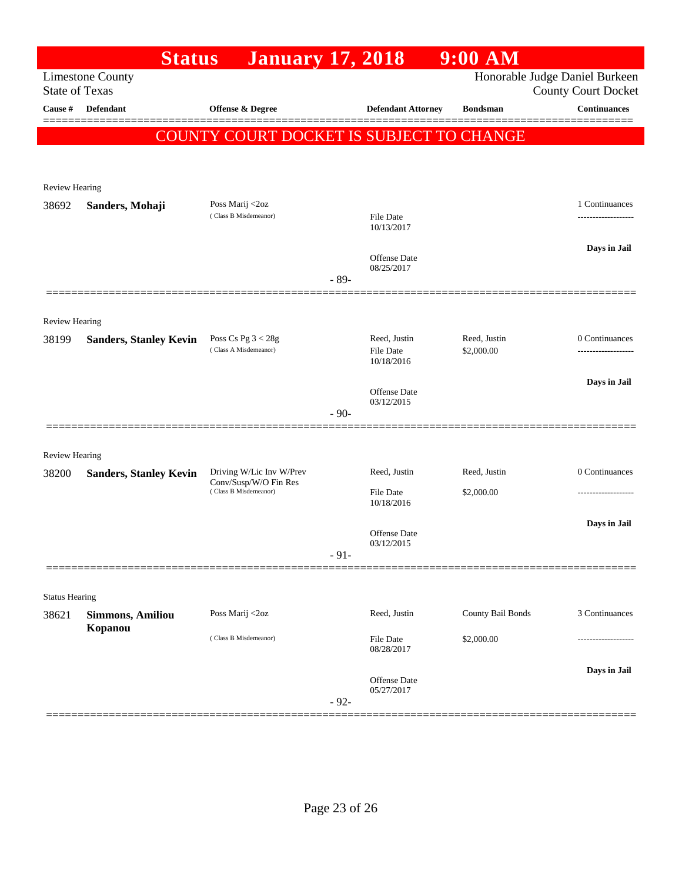|                         | <b>Status</b>                      | <b>January 17, 2018</b>                           |        |                                   | $9:00$ AM         |                                                              |
|-------------------------|------------------------------------|---------------------------------------------------|--------|-----------------------------------|-------------------|--------------------------------------------------------------|
| <b>State of Texas</b>   | <b>Limestone County</b>            |                                                   |        |                                   |                   | Honorable Judge Daniel Burkeen<br><b>County Court Docket</b> |
| Cause #                 | <b>Defendant</b>                   | Offense & Degree                                  |        | <b>Defendant Attorney</b>         | <b>Bondsman</b>   | Continuances                                                 |
|                         |                                    |                                                   |        |                                   |                   |                                                              |
|                         |                                    | <b>COUNTY COURT DOCKET IS SUBJECT TO CHANGE</b>   |        |                                   |                   |                                                              |
|                         |                                    |                                                   |        |                                   |                   |                                                              |
| <b>Review Hearing</b>   |                                    |                                                   |        |                                   |                   |                                                              |
| 38692                   | Sanders, Mohaji                    | Poss Marij <2oz<br>(Class B Misdemeanor)          |        | <b>File Date</b>                  |                   | 1 Continuances                                               |
|                         |                                    |                                                   |        | 10/13/2017                        |                   |                                                              |
|                         |                                    |                                                   |        | Offense Date                      |                   | Days in Jail                                                 |
|                         |                                    |                                                   |        | 08/25/2017                        |                   |                                                              |
|                         |                                    |                                                   | $-89-$ |                                   |                   |                                                              |
|                         |                                    |                                                   |        |                                   |                   |                                                              |
| Review Hearing<br>38199 | <b>Sanders, Stanley Kevin</b>      | Poss Cs Pg $3 < 28g$                              |        | Reed, Justin                      | Reed, Justin      | 0 Continuances                                               |
|                         |                                    | (Class A Misdemeanor)                             |        | <b>File Date</b><br>10/18/2016    | \$2,000.00        | .                                                            |
|                         |                                    |                                                   |        |                                   |                   | Days in Jail                                                 |
|                         |                                    |                                                   |        | <b>Offense Date</b><br>03/12/2015 |                   |                                                              |
|                         |                                    |                                                   | $-90-$ |                                   |                   |                                                              |
|                         |                                    |                                                   |        |                                   |                   |                                                              |
| <b>Review Hearing</b>   |                                    |                                                   |        |                                   |                   |                                                              |
| 38200                   | <b>Sanders, Stanley Kevin</b>      | Driving W/Lic Inv W/Prev<br>Conv/Susp/W/O Fin Res |        | Reed, Justin                      | Reed, Justin      | 0 Continuances                                               |
|                         |                                    | (Class B Misdemeanor)                             |        | <b>File Date</b><br>10/18/2016    | \$2,000.00        |                                                              |
|                         |                                    |                                                   |        |                                   |                   | Days in Jail                                                 |
|                         |                                    |                                                   |        | Offense Date<br>03/12/2015        |                   |                                                              |
|                         |                                    |                                                   | $-91-$ |                                   |                   |                                                              |
|                         |                                    |                                                   |        |                                   |                   |                                                              |
| <b>Status Hearing</b>   |                                    | Poss Marij <2oz                                   |        | Reed, Justin                      | County Bail Bonds | 3 Continuances                                               |
| 38621                   | <b>Simmons, Amiliou</b><br>Kopanou |                                                   |        |                                   |                   |                                                              |
|                         |                                    | (Class B Misdemeanor)                             |        | File Date<br>08/28/2017           | \$2,000.00        |                                                              |
|                         |                                    |                                                   |        |                                   |                   | Days in Jail                                                 |
|                         |                                    |                                                   |        | Offense Date<br>05/27/2017        |                   |                                                              |
|                         |                                    |                                                   | $-92-$ |                                   |                   |                                                              |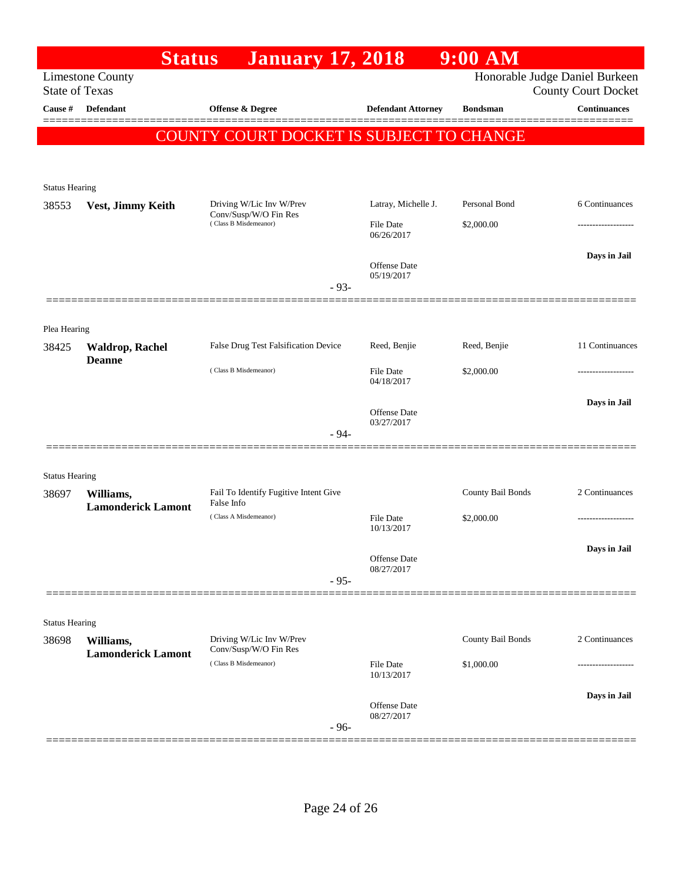|                                | <b>Status</b>             | <b>January 17, 2018</b>                                                    |                                         | $9:00$ AM                   |                                                              |
|--------------------------------|---------------------------|----------------------------------------------------------------------------|-----------------------------------------|-----------------------------|--------------------------------------------------------------|
| <b>State of Texas</b>          | <b>Limestone County</b>   |                                                                            |                                         |                             | Honorable Judge Daniel Burkeen<br><b>County Court Docket</b> |
| Cause #                        | <b>Defendant</b>          | Offense & Degree                                                           | <b>Defendant Attorney</b>               | <b>Bondsman</b>             | <b>Continuances</b>                                          |
|                                |                           | COUNTY COURT DOCKET IS SUBJECT TO CHANGE                                   |                                         |                             |                                                              |
|                                |                           |                                                                            |                                         |                             |                                                              |
|                                |                           |                                                                            |                                         |                             |                                                              |
| <b>Status Hearing</b>          |                           |                                                                            |                                         |                             |                                                              |
| 38553                          | Vest, Jimmy Keith         | Driving W/Lic Inv W/Prev<br>Conv/Susp/W/O Fin Res<br>(Class B Misdemeanor) | Latray, Michelle J.<br><b>File Date</b> | Personal Bond<br>\$2,000.00 | 6 Continuances                                               |
|                                |                           |                                                                            | 06/26/2017                              |                             |                                                              |
|                                |                           |                                                                            | Offense Date                            |                             | Days in Jail                                                 |
|                                |                           |                                                                            | 05/19/2017                              |                             |                                                              |
|                                |                           | $-93-$                                                                     |                                         |                             |                                                              |
|                                |                           |                                                                            |                                         |                             |                                                              |
| Plea Hearing<br>38425          | <b>Waldrop, Rachel</b>    | False Drug Test Falsification Device                                       | Reed, Benjie                            | Reed, Benjie                | 11 Continuances                                              |
|                                | <b>Deanne</b>             | (Class B Misdemeanor)                                                      |                                         |                             |                                                              |
|                                |                           |                                                                            | <b>File Date</b><br>04/18/2017          | \$2,000.00                  |                                                              |
|                                |                           |                                                                            | <b>Offense Date</b>                     |                             | Days in Jail                                                 |
|                                |                           |                                                                            | 03/27/2017                              |                             |                                                              |
|                                |                           | $-94-$                                                                     |                                         |                             |                                                              |
|                                |                           |                                                                            |                                         |                             |                                                              |
| <b>Status Hearing</b><br>38697 | Williams,                 | Fail To Identify Fugitive Intent Give                                      |                                         | County Bail Bonds           | 2 Continuances                                               |
|                                | <b>Lamonderick Lamont</b> | False Info<br>(Class A Misdemeanor)                                        | <b>File Date</b>                        | \$2,000.00                  | .                                                            |
|                                |                           |                                                                            | 10/13/2017                              |                             |                                                              |
|                                |                           |                                                                            | Offense Date                            |                             | Days in Jail                                                 |
|                                |                           | $-95-$                                                                     | 08/27/2017                              |                             |                                                              |
|                                |                           |                                                                            |                                         |                             |                                                              |
| <b>Status Hearing</b>          |                           |                                                                            |                                         |                             |                                                              |
| 38698                          | Williams,                 | Driving W/Lic Inv W/Prev                                                   |                                         | County Bail Bonds           | 2 Continuances                                               |
|                                | <b>Lamonderick Lamont</b> | Conv/Susp/W/O Fin Res<br>(Class B Misdemeanor)                             | File Date                               | \$1,000.00                  |                                                              |
|                                |                           |                                                                            | 10/13/2017                              |                             |                                                              |
|                                |                           |                                                                            | <b>Offense Date</b>                     |                             | Days in Jail                                                 |
|                                |                           | $-96-$                                                                     | 08/27/2017                              |                             |                                                              |
|                                |                           |                                                                            |                                         |                             |                                                              |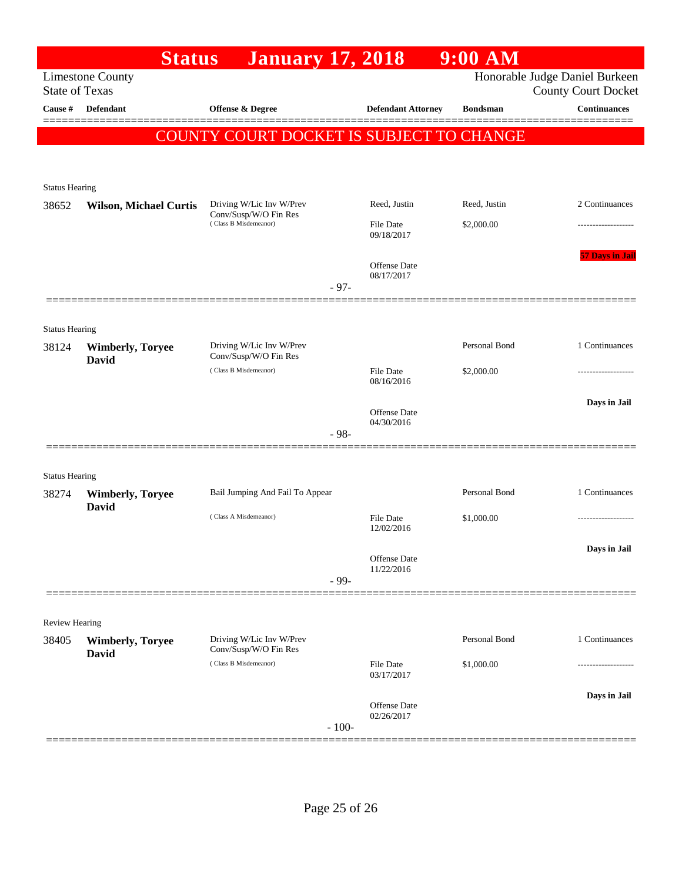|                                                                                                                  | <b>Status</b>                           | <b>January 17, 2018</b>                                                    |         |                                   | $9:00$ AM       |                        |  |  |
|------------------------------------------------------------------------------------------------------------------|-----------------------------------------|----------------------------------------------------------------------------|---------|-----------------------------------|-----------------|------------------------|--|--|
| Honorable Judge Daniel Burkeen<br><b>Limestone County</b><br><b>State of Texas</b><br><b>County Court Docket</b> |                                         |                                                                            |         |                                   |                 |                        |  |  |
| Cause #                                                                                                          | <b>Defendant</b>                        | <b>Offense &amp; Degree</b>                                                |         | <b>Defendant Attorney</b>         | <b>Bondsman</b> | <b>Continuances</b>    |  |  |
|                                                                                                                  |                                         | COUNTY COURT DOCKET IS SUBJECT TO CHANGE                                   |         |                                   |                 |                        |  |  |
| <b>Status Hearing</b>                                                                                            |                                         |                                                                            |         |                                   |                 |                        |  |  |
| 38652                                                                                                            | <b>Wilson, Michael Curtis</b>           | Driving W/Lic Inv W/Prev                                                   |         | Reed, Justin                      | Reed, Justin    | 2 Continuances         |  |  |
|                                                                                                                  |                                         | Conv/Susp/W/O Fin Res<br>(Class B Misdemeanor)                             |         | <b>File Date</b><br>09/18/2017    | \$2,000.00      |                        |  |  |
|                                                                                                                  |                                         |                                                                            | $-97-$  | <b>Offense Date</b><br>08/17/2017 |                 | <b>57 Days in Jail</b> |  |  |
| <b>Status Hearing</b>                                                                                            |                                         |                                                                            |         |                                   |                 |                        |  |  |
| 38124                                                                                                            | <b>Wimberly, Toryee</b>                 | Driving W/Lic Inv W/Prev                                                   |         |                                   | Personal Bond   | 1 Continuances         |  |  |
|                                                                                                                  | <b>David</b>                            | Conv/Susp/W/O Fin Res<br>(Class B Misdemeanor)                             |         | <b>File Date</b><br>08/16/2016    | \$2,000.00      | -----------------      |  |  |
|                                                                                                                  |                                         |                                                                            |         | <b>Offense Date</b><br>04/30/2016 |                 | Days in Jail           |  |  |
|                                                                                                                  |                                         |                                                                            | $-98-$  |                                   |                 |                        |  |  |
| <b>Status Hearing</b>                                                                                            |                                         |                                                                            |         |                                   |                 |                        |  |  |
| 38274                                                                                                            | <b>Wimberly, Toryee</b><br><b>David</b> | Bail Jumping And Fail To Appear                                            |         |                                   | Personal Bond   | 1 Continuances         |  |  |
|                                                                                                                  |                                         | (Class A Misdemeanor)                                                      |         | File Date<br>12/02/2016           | \$1,000.00      |                        |  |  |
|                                                                                                                  |                                         |                                                                            | $-99-$  | Offense Date<br>11/22/2016        |                 | Days in Jail           |  |  |
|                                                                                                                  |                                         |                                                                            |         |                                   |                 |                        |  |  |
| Review Hearing<br>38405                                                                                          | <b>Wimberly, Toryee</b><br><b>David</b> | Driving W/Lic Inv W/Prev<br>Conv/Susp/W/O Fin Res<br>(Class B Misdemeanor) |         |                                   | Personal Bond   | 1 Continuances         |  |  |
|                                                                                                                  |                                         |                                                                            |         | <b>File Date</b><br>03/17/2017    | \$1,000.00      |                        |  |  |
|                                                                                                                  |                                         |                                                                            | $-100-$ | Offense Date<br>02/26/2017        |                 | Days in Jail           |  |  |